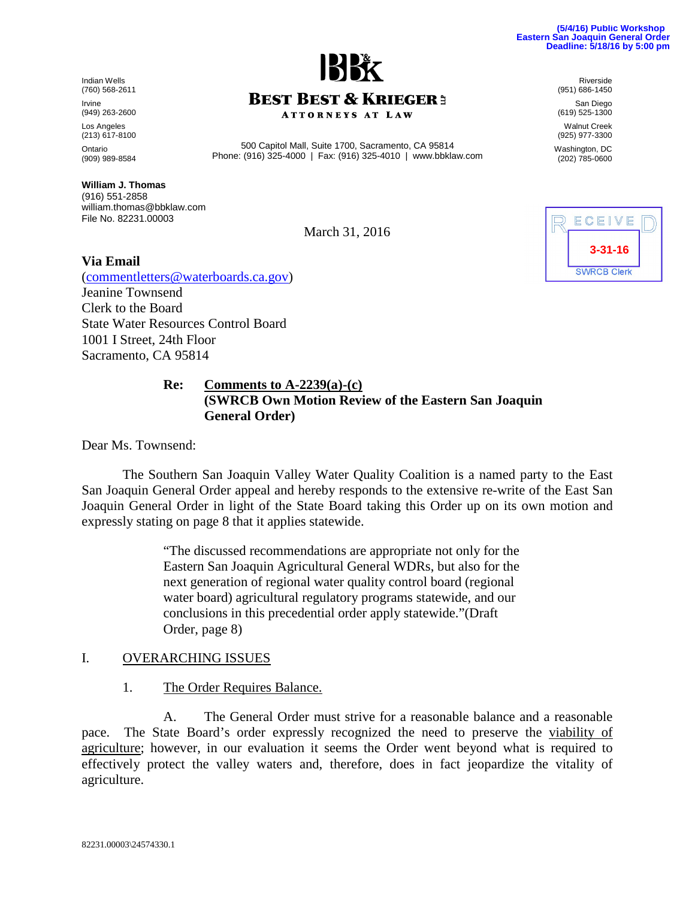82231.00003\24574330.1

Indian Wells (760) 568-2611 Irvine (949) 263-2600 Los Angeles (213) 617-8100 Ontario (909) 989-8584

**William J. Thomas** (916) 551-2858 william.thomas@bbklaw.com File No. 82231.00003

March 31, 2016

500 Capitol Mall, Suite 1700, Sacramento, CA 95814 Phone: (916) 325-4000 | Fax: (916) 325-4010 | www.bbklaw.com

**ATTORNEYS AT LAW** 

#### **Via Email**

([commentletters@waterboards.ca.gov](mailto:commentletters@waterboards.ca.gov)) Jeanine Townsend Clerk to the Board State Water Resources Control Board 1001 I Street, 24th Floor Sacramento, CA 95814

#### **Re: Comments to A-2239(a)-(c) (SWRCB Own Motion Review of the Eastern San Joaquin General Order)**

Dear Ms. Townsend:

The Southern San Joaquin Valley Water Quality Coalition is a named party to the East San Joaquin General Order appeal and hereby responds to the extensive re-write of the East San Joaquin General Order in light of the State Board taking this Order up on its own motion and expressly stating on page 8 that it applies statewide.

> "The discussed recommendations are appropriate not only for the Eastern San Joaquin Agricultural General WDRs, but also for the next generation of regional water quality control board (regional water board) agricultural regulatory programs statewide, and our conclusions in this precedential order apply statewide."(Draft Order, page 8)

#### I. OVERARCHING ISSUES

1. The Order Requires Balance.

A. The General Order must strive for a reasonable balance and a reasonable pace. The State Board's order expressly recognized the need to preserve the viability of agriculture; however, in our evaluation it seems the Order went beyond what is required to effectively protect the valley waters and, therefore, does in fact jeopardize the vitality of agriculture.

Riverside (951) 686-1450

San Diego (619) 525-1300 Walnut Creek

(925) 977-3300

Washington, DC (202) 785-0600





# **BEST BEST & KRIEGER3**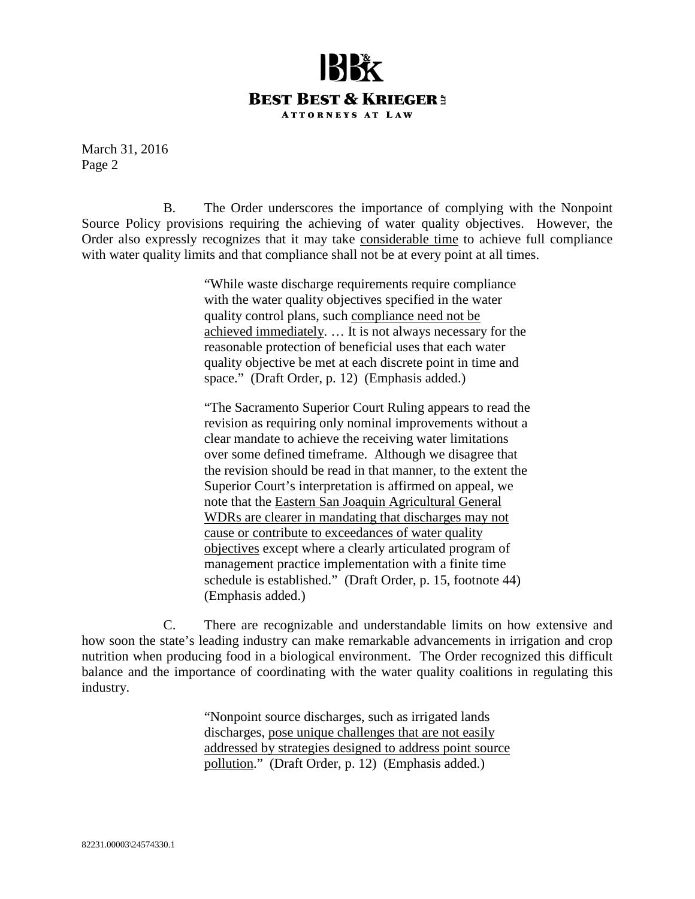

B. The Order underscores the importance of complying with the Nonpoint Source Policy provisions requiring the achieving of water quality objectives. However, the Order also expressly recognizes that it may take considerable time to achieve full compliance with water quality limits and that compliance shall not be at every point at all times.

> "While waste discharge requirements require compliance with the water quality objectives specified in the water quality control plans, such compliance need not be achieved immediately. … It is not always necessary for the reasonable protection of beneficial uses that each water quality objective be met at each discrete point in time and space." (Draft Order, p. 12) (Emphasis added.)

"The Sacramento Superior Court Ruling appears to read the revision as requiring only nominal improvements without a clear mandate to achieve the receiving water limitations over some defined timeframe. Although we disagree that the revision should be read in that manner, to the extent the Superior Court's interpretation is affirmed on appeal, we note that the Eastern San Joaquin Agricultural General WDRs are clearer in mandating that discharges may not cause or contribute to exceedances of water quality objectives except where a clearly articulated program of management practice implementation with a finite time schedule is established." (Draft Order, p. 15, footnote 44) (Emphasis added.)

C. There are recognizable and understandable limits on how extensive and how soon the state's leading industry can make remarkable advancements in irrigation and crop nutrition when producing food in a biological environment. The Order recognized this difficult balance and the importance of coordinating with the water quality coalitions in regulating this industry.

> "Nonpoint source discharges, such as irrigated lands discharges, pose unique challenges that are not easily addressed by strategies designed to address point source pollution." (Draft Order, p. 12) (Emphasis added.)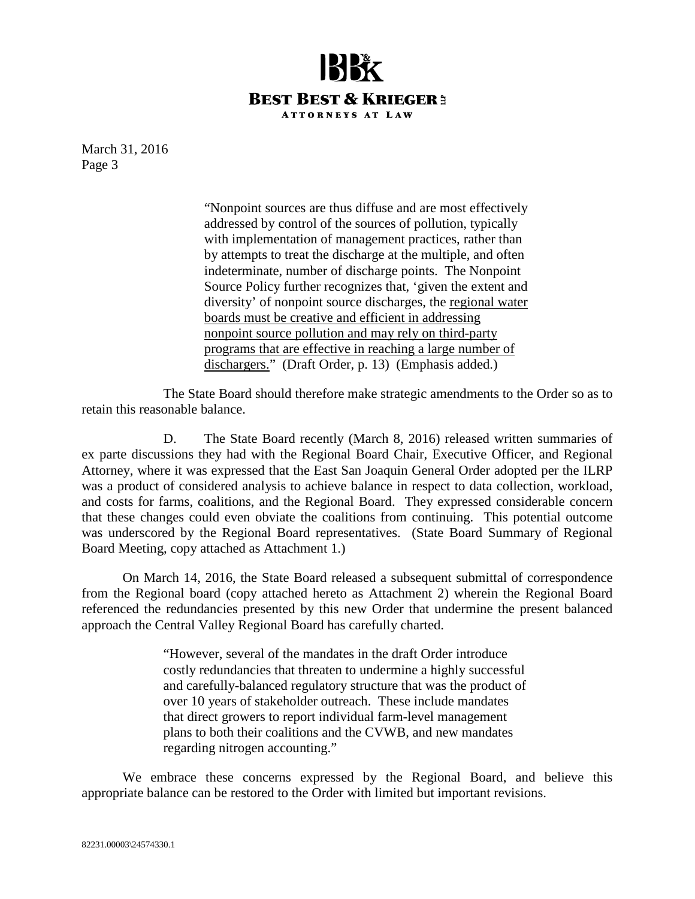

> "Nonpoint sources are thus diffuse and are most effectively addressed by control of the sources of pollution, typically with implementation of management practices, rather than by attempts to treat the discharge at the multiple, and often indeterminate, number of discharge points. The Nonpoint Source Policy further recognizes that, 'given the extent and diversity' of nonpoint source discharges, the regional water boards must be creative and efficient in addressing nonpoint source pollution and may rely on third-party programs that are effective in reaching a large number of dischargers." (Draft Order, p. 13) (Emphasis added.)

The State Board should therefore make strategic amendments to the Order so as to retain this reasonable balance.

D. The State Board recently (March 8, 2016) released written summaries of ex parte discussions they had with the Regional Board Chair, Executive Officer, and Regional Attorney, where it was expressed that the East San Joaquin General Order adopted per the ILRP was a product of considered analysis to achieve balance in respect to data collection, workload, and costs for farms, coalitions, and the Regional Board. They expressed considerable concern that these changes could even obviate the coalitions from continuing. This potential outcome was underscored by the Regional Board representatives. (State Board Summary of Regional Board Meeting, copy attached as Attachment 1.)

On March 14, 2016, the State Board released a subsequent submittal of correspondence from the Regional board (copy attached hereto as Attachment 2) wherein the Regional Board referenced the redundancies presented by this new Order that undermine the present balanced approach the Central Valley Regional Board has carefully charted.

> "However, several of the mandates in the draft Order introduce costly redundancies that threaten to undermine a highly successful and carefully-balanced regulatory structure that was the product of over 10 years of stakeholder outreach. These include mandates that direct growers to report individual farm-level management plans to both their coalitions and the CVWB, and new mandates regarding nitrogen accounting."

We embrace these concerns expressed by the Regional Board, and believe this appropriate balance can be restored to the Order with limited but important revisions.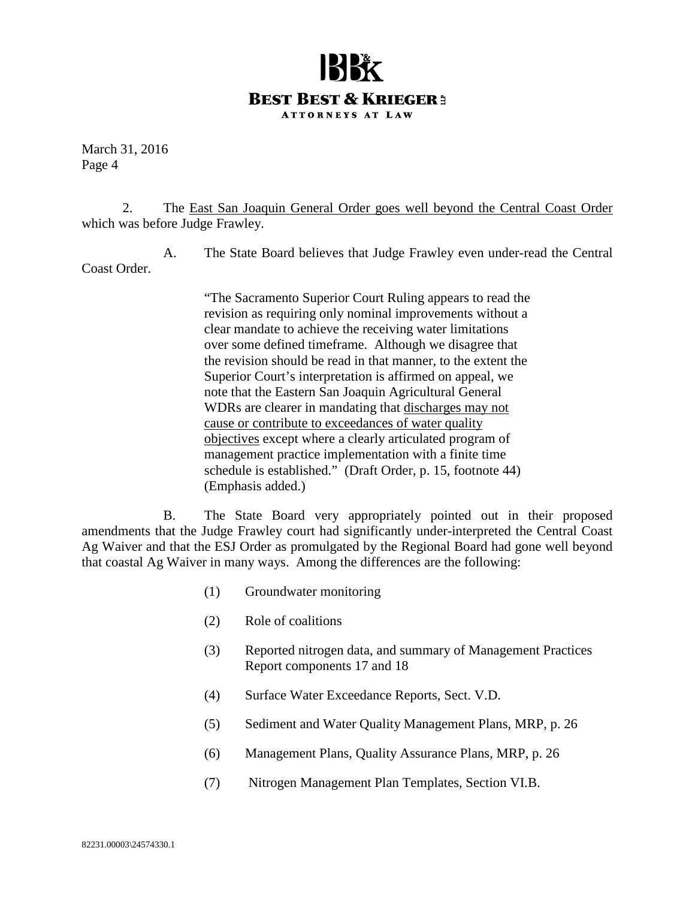### **BEST BEST & KRIEGER3 ATTORNEYS AT LAW**

March 31, 2016 Page 4

2. The East San Joaquin General Order goes well beyond the Central Coast Order which was before Judge Frawley.

A. The State Board believes that Judge Frawley even under-read the Central Coast Order.

> "The Sacramento Superior Court Ruling appears to read the revision as requiring only nominal improvements without a clear mandate to achieve the receiving water limitations over some defined timeframe. Although we disagree that the revision should be read in that manner, to the extent the Superior Court's interpretation is affirmed on appeal, we note that the Eastern San Joaquin Agricultural General WDRs are clearer in mandating that discharges may not cause or contribute to exceedances of water quality objectives except where a clearly articulated program of management practice implementation with a finite time schedule is established." (Draft Order, p. 15, footnote 44) (Emphasis added.)

B. The State Board very appropriately pointed out in their proposed amendments that the Judge Frawley court had significantly under-interpreted the Central Coast Ag Waiver and that the ESJ Order as promulgated by the Regional Board had gone well beyond that coastal Ag Waiver in many ways. Among the differences are the following:

- (1) Groundwater monitoring
- (2) Role of coalitions
- (3) Reported nitrogen data, and summary of Management Practices Report components 17 and 18
- (4) Surface Water Exceedance Reports, Sect. V.D.
- (5) Sediment and Water Quality Management Plans, MRP, p. 26
- (6) Management Plans, Quality Assurance Plans, MRP, p. 26
- (7) Nitrogen Management Plan Templates, Section VI.B.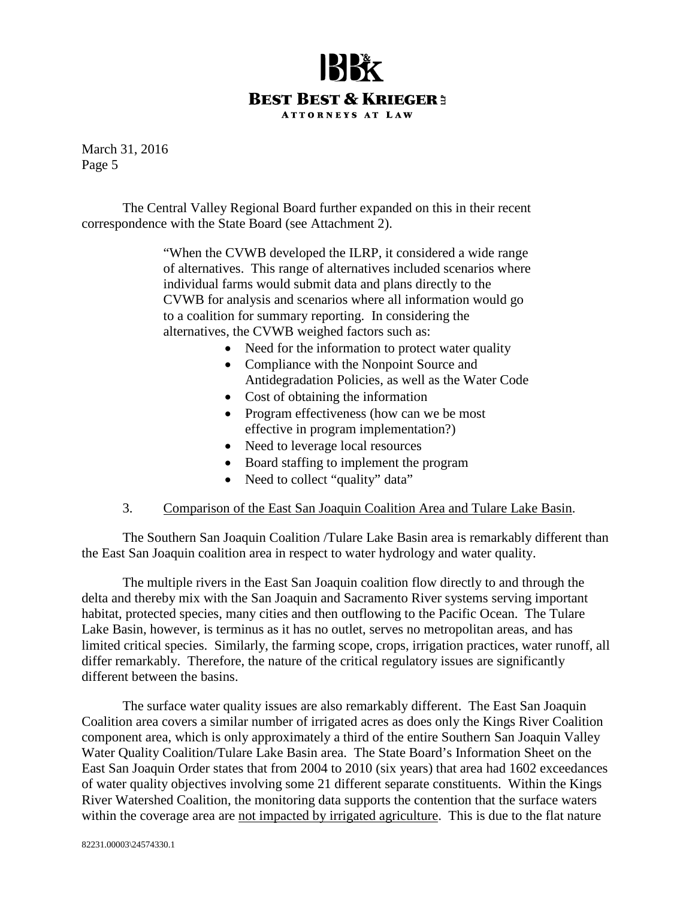

The Central Valley Regional Board further expanded on this in their recent correspondence with the State Board (see Attachment 2).

> "When the CVWB developed the ILRP, it considered a wide range of alternatives. This range of alternatives included scenarios where individual farms would submit data and plans directly to the CVWB for analysis and scenarios where all information would go to a coalition for summary reporting. In considering the alternatives, the CVWB weighed factors such as:

- Need for the information to protect water quality
- Compliance with the Nonpoint Source and Antidegradation Policies, as well as the Water Code
- Cost of obtaining the information
- Program effectiveness (how can we be most effective in program implementation?)
- Need to leverage local resources
- Board staffing to implement the program
- Need to collect "quality" data"

#### 3. Comparison of the East San Joaquin Coalition Area and Tulare Lake Basin.

The Southern San Joaquin Coalition /Tulare Lake Basin area is remarkably different than the East San Joaquin coalition area in respect to water hydrology and water quality.

The multiple rivers in the East San Joaquin coalition flow directly to and through the delta and thereby mix with the San Joaquin and Sacramento River systems serving important habitat, protected species, many cities and then outflowing to the Pacific Ocean. The Tulare Lake Basin, however, is terminus as it has no outlet, serves no metropolitan areas, and has limited critical species. Similarly, the farming scope, crops, irrigation practices, water runoff, all differ remarkably. Therefore, the nature of the critical regulatory issues are significantly different between the basins.

The surface water quality issues are also remarkably different. The East San Joaquin Coalition area covers a similar number of irrigated acres as does only the Kings River Coalition component area, which is only approximately a third of the entire Southern San Joaquin Valley Water Quality Coalition/Tulare Lake Basin area. The State Board's Information Sheet on the East San Joaquin Order states that from 2004 to 2010 (six years) that area had 1602 exceedances of water quality objectives involving some 21 different separate constituents. Within the Kings River Watershed Coalition, the monitoring data supports the contention that the surface waters within the coverage area are not impacted by irrigated agriculture. This is due to the flat nature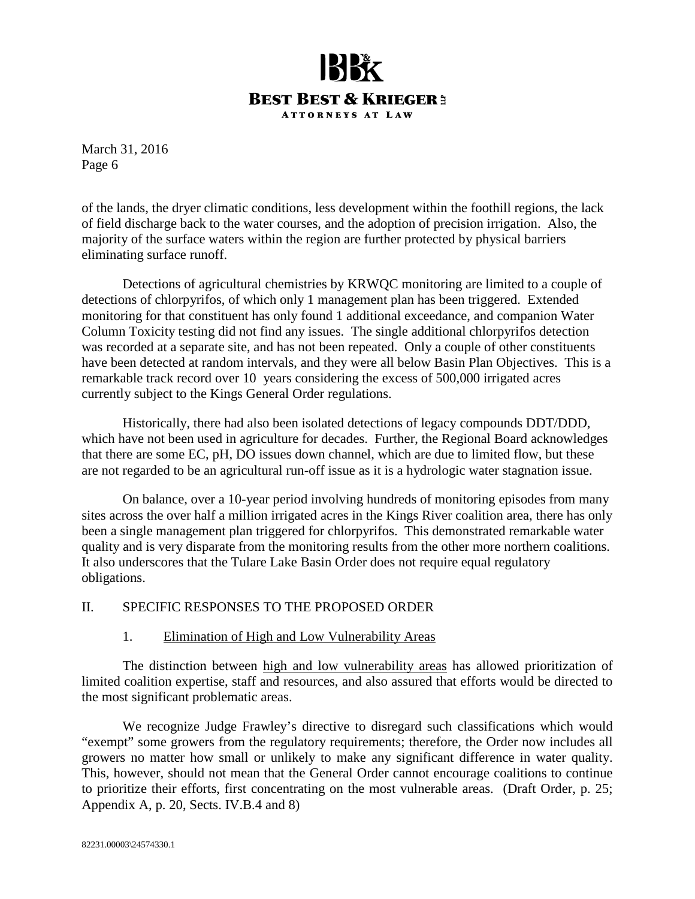

of the lands, the dryer climatic conditions, less development within the foothill regions, the lack of field discharge back to the water courses, and the adoption of precision irrigation. Also, the majority of the surface waters within the region are further protected by physical barriers eliminating surface runoff.

Detections of agricultural chemistries by KRWQC monitoring are limited to a couple of detections of chlorpyrifos, of which only 1 management plan has been triggered. Extended monitoring for that constituent has only found 1 additional exceedance, and companion Water Column Toxicity testing did not find any issues. The single additional chlorpyrifos detection was recorded at a separate site, and has not been repeated. Only a couple of other constituents have been detected at random intervals, and they were all below Basin Plan Objectives. This is a remarkable track record over 10 years considering the excess of 500,000 irrigated acres currently subject to the Kings General Order regulations.

Historically, there had also been isolated detections of legacy compounds DDT/DDD, which have not been used in agriculture for decades. Further, the Regional Board acknowledges that there are some EC, pH, DO issues down channel, which are due to limited flow, but these are not regarded to be an agricultural run-off issue as it is a hydrologic water stagnation issue.

On balance, over a 10-year period involving hundreds of monitoring episodes from many sites across the over half a million irrigated acres in the Kings River coalition area, there has only been a single management plan triggered for chlorpyrifos. This demonstrated remarkable water quality and is very disparate from the monitoring results from the other more northern coalitions. It also underscores that the Tulare Lake Basin Order does not require equal regulatory obligations.

#### II. SPECIFIC RESPONSES TO THE PROPOSED ORDER

#### 1. Elimination of High and Low Vulnerability Areas

The distinction between high and low vulnerability areas has allowed prioritization of limited coalition expertise, staff and resources, and also assured that efforts would be directed to the most significant problematic areas.

We recognize Judge Frawley's directive to disregard such classifications which would "exempt" some growers from the regulatory requirements; therefore, the Order now includes all growers no matter how small or unlikely to make any significant difference in water quality. This, however, should not mean that the General Order cannot encourage coalitions to continue to prioritize their efforts, first concentrating on the most vulnerable areas. (Draft Order, p. 25; Appendix A, p. 20, Sects. IV.B.4 and 8)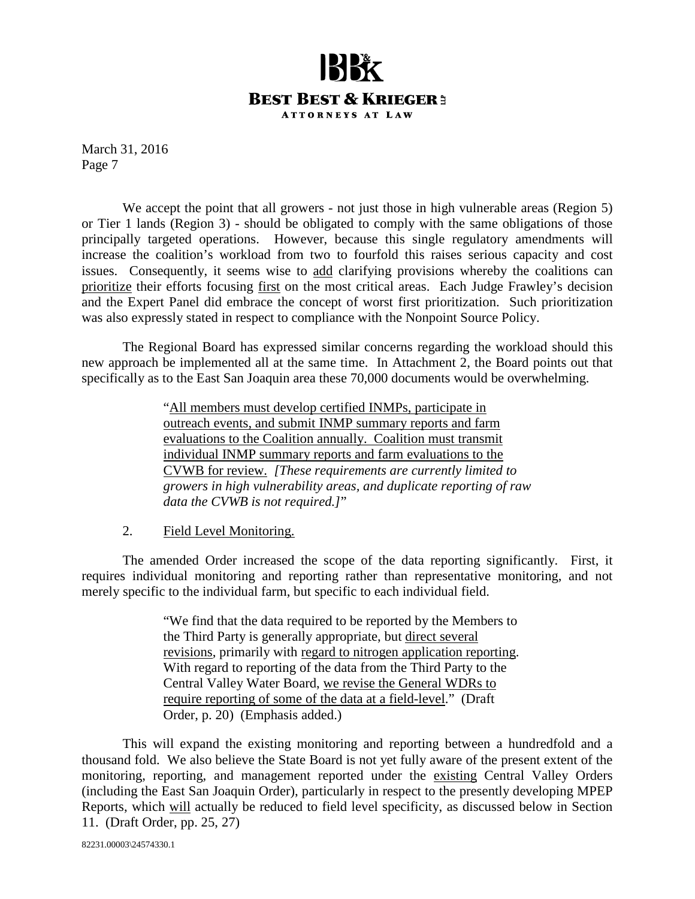

We accept the point that all growers - not just those in high vulnerable areas (Region 5) or Tier 1 lands (Region 3) - should be obligated to comply with the same obligations of those principally targeted operations. However, because this single regulatory amendments will increase the coalition's workload from two to fourfold this raises serious capacity and cost issues. Consequently, it seems wise to add clarifying provisions whereby the coalitions can prioritize their efforts focusing first on the most critical areas. Each Judge Frawley's decision and the Expert Panel did embrace the concept of worst first prioritization. Such prioritization was also expressly stated in respect to compliance with the Nonpoint Source Policy.

The Regional Board has expressed similar concerns regarding the workload should this new approach be implemented all at the same time. In Attachment 2, the Board points out that specifically as to the East San Joaquin area these 70,000 documents would be overwhelming.

> "All members must develop certified INMPs, participate in outreach events, and submit INMP summary reports and farm evaluations to the Coalition annually. Coalition must transmit individual INMP summary reports and farm evaluations to the CVWB for review. *[These requirements are currently limited to growers in high vulnerability areas, and duplicate reporting of raw data the CVWB is not required.]*"

#### 2. Field Level Monitoring.

The amended Order increased the scope of the data reporting significantly. First, it requires individual monitoring and reporting rather than representative monitoring, and not merely specific to the individual farm, but specific to each individual field.

> "We find that the data required to be reported by the Members to the Third Party is generally appropriate, but direct several revisions, primarily with regard to nitrogen application reporting. With regard to reporting of the data from the Third Party to the Central Valley Water Board, we revise the General WDRs to require reporting of some of the data at a field-level." (Draft Order, p. 20) (Emphasis added.)

This will expand the existing monitoring and reporting between a hundredfold and a thousand fold. We also believe the State Board is not yet fully aware of the present extent of the monitoring, reporting, and management reported under the existing Central Valley Orders (including the East San Joaquin Order), particularly in respect to the presently developing MPEP Reports, which will actually be reduced to field level specificity, as discussed below in Section 11. (Draft Order, pp. 25, 27)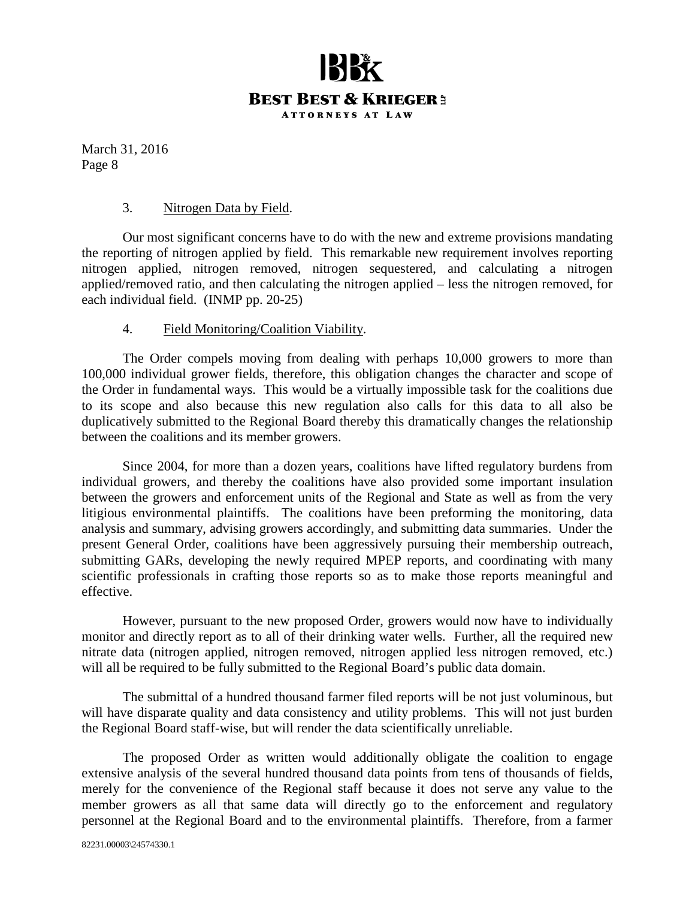

#### 3. Nitrogen Data by Field.

Our most significant concerns have to do with the new and extreme provisions mandating the reporting of nitrogen applied by field. This remarkable new requirement involves reporting nitrogen applied, nitrogen removed, nitrogen sequestered, and calculating a nitrogen applied/removed ratio, and then calculating the nitrogen applied – less the nitrogen removed, for each individual field. (INMP pp. 20-25)

#### 4. Field Monitoring/Coalition Viability.

The Order compels moving from dealing with perhaps 10,000 growers to more than 100,000 individual grower fields, therefore, this obligation changes the character and scope of the Order in fundamental ways. This would be a virtually impossible task for the coalitions due to its scope and also because this new regulation also calls for this data to all also be duplicatively submitted to the Regional Board thereby this dramatically changes the relationship between the coalitions and its member growers.

Since 2004, for more than a dozen years, coalitions have lifted regulatory burdens from individual growers, and thereby the coalitions have also provided some important insulation between the growers and enforcement units of the Regional and State as well as from the very litigious environmental plaintiffs. The coalitions have been preforming the monitoring, data analysis and summary, advising growers accordingly, and submitting data summaries. Under the present General Order, coalitions have been aggressively pursuing their membership outreach, submitting GARs, developing the newly required MPEP reports, and coordinating with many scientific professionals in crafting those reports so as to make those reports meaningful and effective.

However, pursuant to the new proposed Order, growers would now have to individually monitor and directly report as to all of their drinking water wells. Further, all the required new nitrate data (nitrogen applied, nitrogen removed, nitrogen applied less nitrogen removed, etc.) will all be required to be fully submitted to the Regional Board's public data domain.

The submittal of a hundred thousand farmer filed reports will be not just voluminous, but will have disparate quality and data consistency and utility problems. This will not just burden the Regional Board staff-wise, but will render the data scientifically unreliable.

The proposed Order as written would additionally obligate the coalition to engage extensive analysis of the several hundred thousand data points from tens of thousands of fields, merely for the convenience of the Regional staff because it does not serve any value to the member growers as all that same data will directly go to the enforcement and regulatory personnel at the Regional Board and to the environmental plaintiffs. Therefore, from a farmer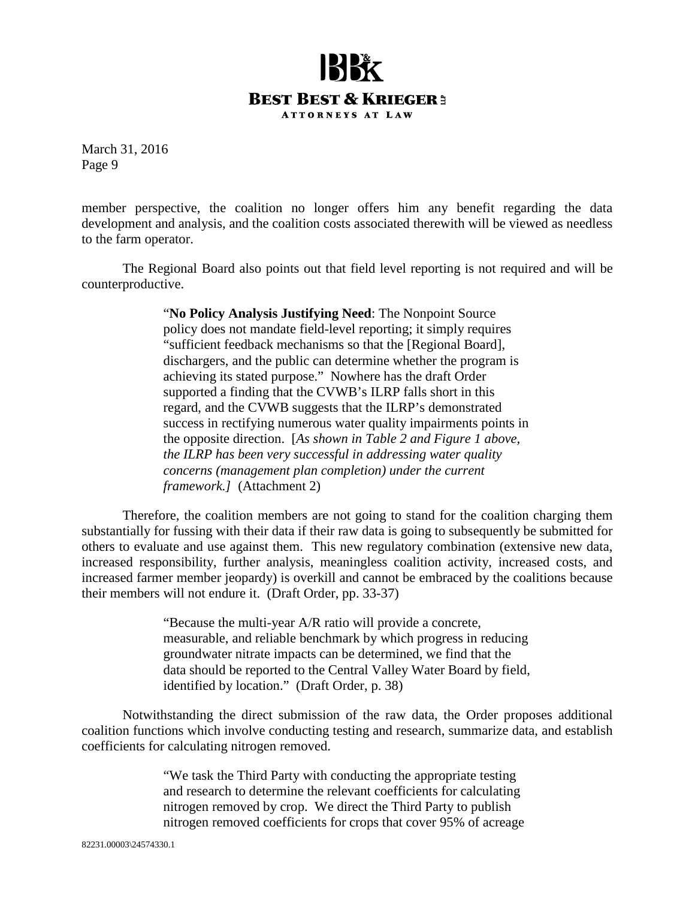## **BEST BEST & KRIEGER3 ATTORNEYS AT LAW**

March 31, 2016 Page 9

member perspective, the coalition no longer offers him any benefit regarding the data development and analysis, and the coalition costs associated therewith will be viewed as needless to the farm operator.

The Regional Board also points out that field level reporting is not required and will be counterproductive.

> "**No Policy Analysis Justifying Need**: The Nonpoint Source policy does not mandate field-level reporting; it simply requires "sufficient feedback mechanisms so that the [Regional Board], dischargers, and the public can determine whether the program is achieving its stated purpose." Nowhere has the draft Order supported a finding that the CVWB's ILRP falls short in this regard, and the CVWB suggests that the ILRP's demonstrated success in rectifying numerous water quality impairments points in the opposite direction. [*As shown in Table 2 and Figure 1 above, the ILRP has been very successful in addressing water quality concerns (management plan completion) under the current framework.]* (Attachment 2)

Therefore, the coalition members are not going to stand for the coalition charging them substantially for fussing with their data if their raw data is going to subsequently be submitted for others to evaluate and use against them. This new regulatory combination (extensive new data, increased responsibility, further analysis, meaningless coalition activity, increased costs, and increased farmer member jeopardy) is overkill and cannot be embraced by the coalitions because their members will not endure it. (Draft Order, pp. 33-37)

> "Because the multi-year A/R ratio will provide a concrete, measurable, and reliable benchmark by which progress in reducing groundwater nitrate impacts can be determined, we find that the data should be reported to the Central Valley Water Board by field, identified by location." (Draft Order, p. 38)

Notwithstanding the direct submission of the raw data, the Order proposes additional coalition functions which involve conducting testing and research, summarize data, and establish coefficients for calculating nitrogen removed.

> "We task the Third Party with conducting the appropriate testing and research to determine the relevant coefficients for calculating nitrogen removed by crop. We direct the Third Party to publish nitrogen removed coefficients for crops that cover 95% of acreage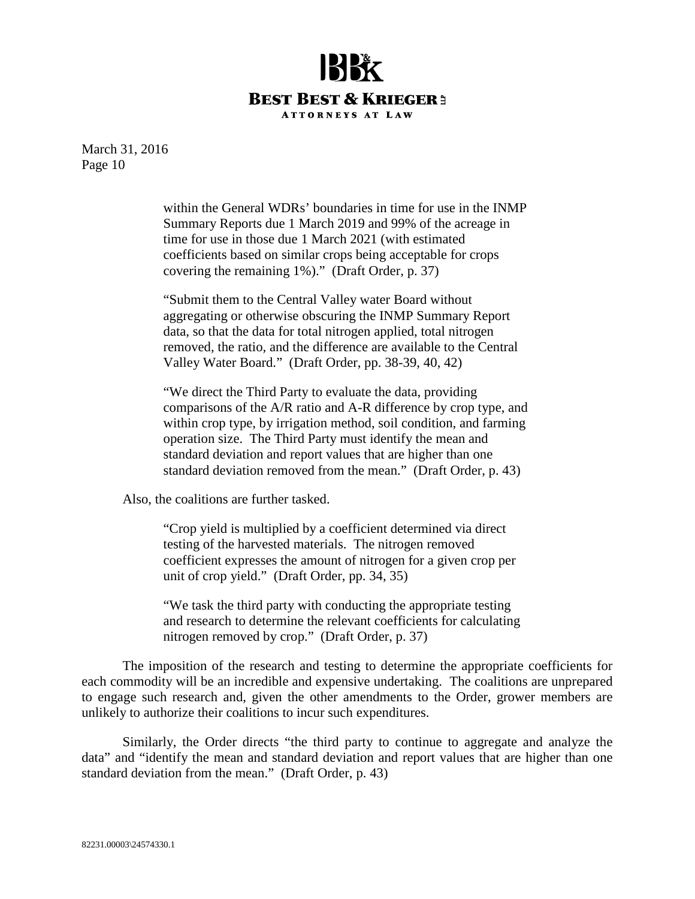

> within the General WDRs' boundaries in time for use in the INMP Summary Reports due 1 March 2019 and 99% of the acreage in time for use in those due 1 March 2021 (with estimated coefficients based on similar crops being acceptable for crops covering the remaining 1%)." (Draft Order, p. 37)

"Submit them to the Central Valley water Board without aggregating or otherwise obscuring the INMP Summary Report data, so that the data for total nitrogen applied, total nitrogen removed, the ratio, and the difference are available to the Central Valley Water Board." (Draft Order, pp. 38-39, 40, 42)

"We direct the Third Party to evaluate the data, providing comparisons of the A/R ratio and A-R difference by crop type, and within crop type, by irrigation method, soil condition, and farming operation size. The Third Party must identify the mean and standard deviation and report values that are higher than one standard deviation removed from the mean." (Draft Order, p. 43)

Also, the coalitions are further tasked.

"Crop yield is multiplied by a coefficient determined via direct testing of the harvested materials. The nitrogen removed coefficient expresses the amount of nitrogen for a given crop per unit of crop yield." (Draft Order, pp. 34, 35)

"We task the third party with conducting the appropriate testing and research to determine the relevant coefficients for calculating nitrogen removed by crop." (Draft Order, p. 37)

The imposition of the research and testing to determine the appropriate coefficients for each commodity will be an incredible and expensive undertaking. The coalitions are unprepared to engage such research and, given the other amendments to the Order, grower members are unlikely to authorize their coalitions to incur such expenditures.

Similarly, the Order directs "the third party to continue to aggregate and analyze the data" and "identify the mean and standard deviation and report values that are higher than one standard deviation from the mean." (Draft Order, p. 43)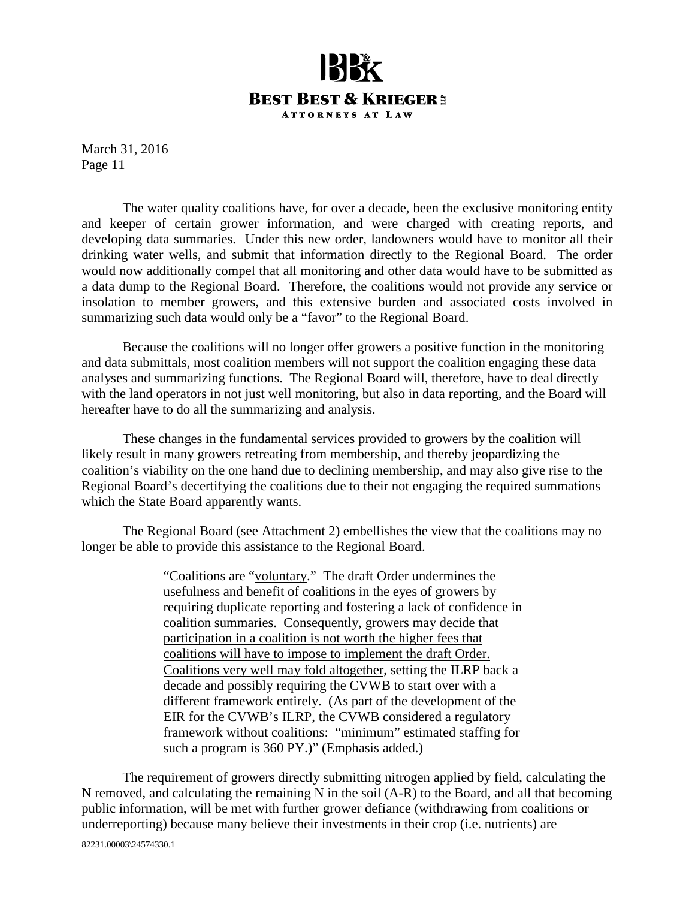

The water quality coalitions have, for over a decade, been the exclusive monitoring entity and keeper of certain grower information, and were charged with creating reports, and developing data summaries. Under this new order, landowners would have to monitor all their drinking water wells, and submit that information directly to the Regional Board. The order would now additionally compel that all monitoring and other data would have to be submitted as a data dump to the Regional Board. Therefore, the coalitions would not provide any service or insolation to member growers, and this extensive burden and associated costs involved in summarizing such data would only be a "favor" to the Regional Board.

Because the coalitions will no longer offer growers a positive function in the monitoring and data submittals, most coalition members will not support the coalition engaging these data analyses and summarizing functions. The Regional Board will, therefore, have to deal directly with the land operators in not just well monitoring, but also in data reporting, and the Board will hereafter have to do all the summarizing and analysis.

These changes in the fundamental services provided to growers by the coalition will likely result in many growers retreating from membership, and thereby jeopardizing the coalition's viability on the one hand due to declining membership, and may also give rise to the Regional Board's decertifying the coalitions due to their not engaging the required summations which the State Board apparently wants.

The Regional Board (see Attachment 2) embellishes the view that the coalitions may no longer be able to provide this assistance to the Regional Board.

> "Coalitions are "voluntary." The draft Order undermines the usefulness and benefit of coalitions in the eyes of growers by requiring duplicate reporting and fostering a lack of confidence in coalition summaries. Consequently, growers may decide that participation in a coalition is not worth the higher fees that coalitions will have to impose to implement the draft Order. Coalitions very well may fold altogether, setting the ILRP back a decade and possibly requiring the CVWB to start over with a different framework entirely. (As part of the development of the EIR for the CVWB's ILRP, the CVWB considered a regulatory framework without coalitions: "minimum" estimated staffing for such a program is 360 PY.)" (Emphasis added.)

82231.00003\24574330.1 The requirement of growers directly submitting nitrogen applied by field, calculating the N removed, and calculating the remaining N in the soil (A-R) to the Board, and all that becoming public information, will be met with further grower defiance (withdrawing from coalitions or underreporting) because many believe their investments in their crop (i.e. nutrients) are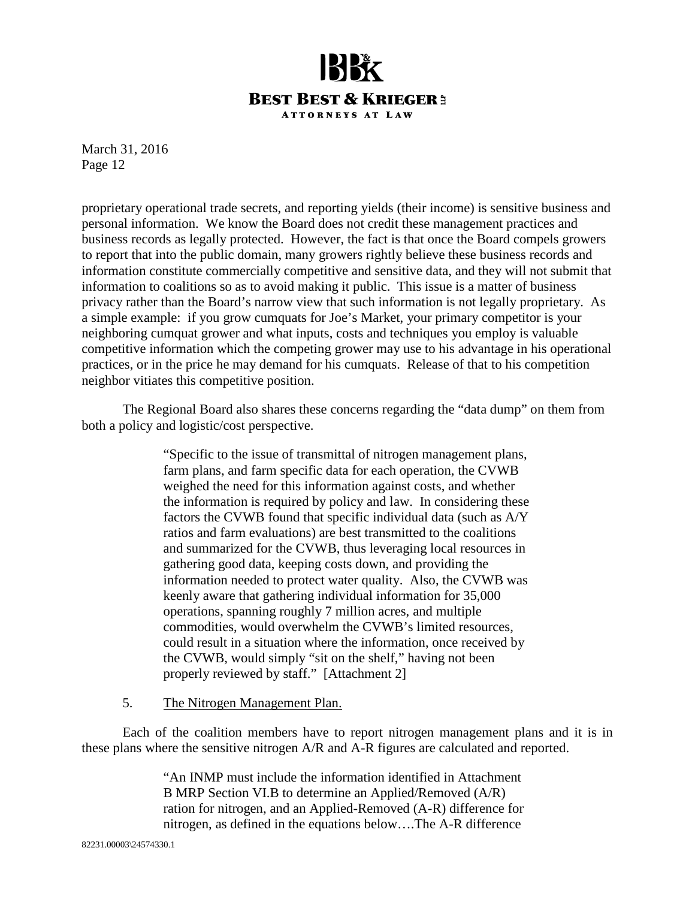

proprietary operational trade secrets, and reporting yields (their income) is sensitive business and personal information. We know the Board does not credit these management practices and business records as legally protected. However, the fact is that once the Board compels growers to report that into the public domain, many growers rightly believe these business records and information constitute commercially competitive and sensitive data, and they will not submit that information to coalitions so as to avoid making it public. This issue is a matter of business privacy rather than the Board's narrow view that such information is not legally proprietary. As a simple example: if you grow cumquats for Joe's Market, your primary competitor is your neighboring cumquat grower and what inputs, costs and techniques you employ is valuable competitive information which the competing grower may use to his advantage in his operational practices, or in the price he may demand for his cumquats. Release of that to his competition neighbor vitiates this competitive position.

The Regional Board also shares these concerns regarding the "data dump" on them from both a policy and logistic/cost perspective.

> "Specific to the issue of transmittal of nitrogen management plans, farm plans, and farm specific data for each operation, the CVWB weighed the need for this information against costs, and whether the information is required by policy and law. In considering these factors the CVWB found that specific individual data (such as A/Y ratios and farm evaluations) are best transmitted to the coalitions and summarized for the CVWB, thus leveraging local resources in gathering good data, keeping costs down, and providing the information needed to protect water quality. Also, the CVWB was keenly aware that gathering individual information for 35,000 operations, spanning roughly 7 million acres, and multiple commodities, would overwhelm the CVWB's limited resources, could result in a situation where the information, once received by the CVWB, would simply "sit on the shelf," having not been properly reviewed by staff." [Attachment 2]

5. The Nitrogen Management Plan.

Each of the coalition members have to report nitrogen management plans and it is in these plans where the sensitive nitrogen A/R and A-R figures are calculated and reported.

> "An INMP must include the information identified in Attachment B MRP Section VI.B to determine an Applied/Removed (A/R) ration for nitrogen, and an Applied-Removed (A-R) difference for nitrogen, as defined in the equations below….The A-R difference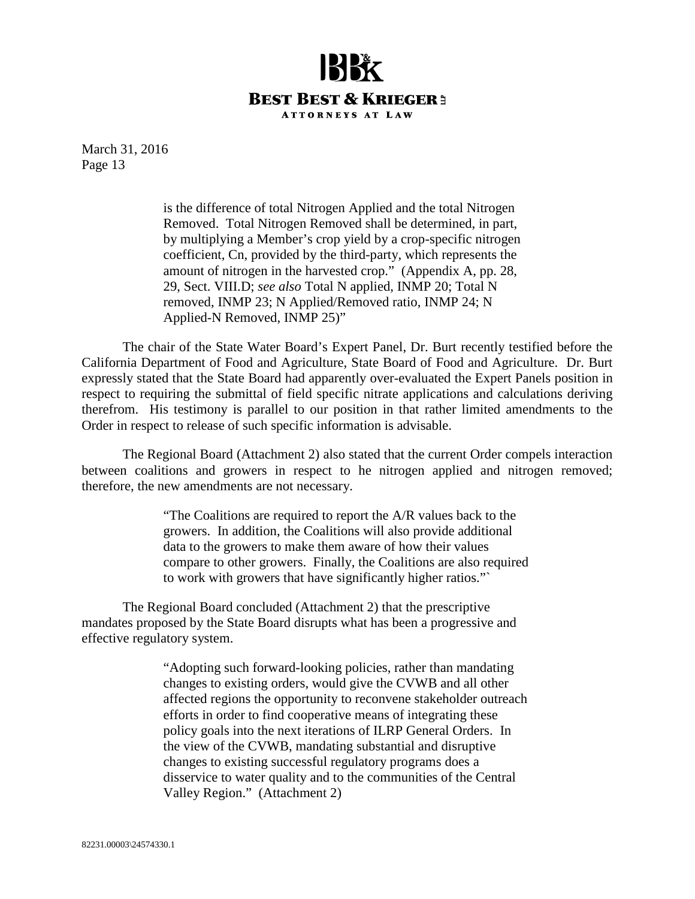

> is the difference of total Nitrogen Applied and the total Nitrogen Removed. Total Nitrogen Removed shall be determined, in part, by multiplying a Member's crop yield by a crop-specific nitrogen coefficient, Cn, provided by the third-party, which represents the amount of nitrogen in the harvested crop." (Appendix A, pp. 28, 29, Sect. VIII.D; *see also* Total N applied, INMP 20; Total N removed, INMP 23; N Applied/Removed ratio, INMP 24; N Applied-N Removed, INMP 25)"

The chair of the State Water Board's Expert Panel, Dr. Burt recently testified before the California Department of Food and Agriculture, State Board of Food and Agriculture. Dr. Burt expressly stated that the State Board had apparently over-evaluated the Expert Panels position in respect to requiring the submittal of field specific nitrate applications and calculations deriving therefrom. His testimony is parallel to our position in that rather limited amendments to the Order in respect to release of such specific information is advisable.

The Regional Board (Attachment 2) also stated that the current Order compels interaction between coalitions and growers in respect to he nitrogen applied and nitrogen removed; therefore, the new amendments are not necessary.

> "The Coalitions are required to report the A/R values back to the growers. In addition, the Coalitions will also provide additional data to the growers to make them aware of how their values compare to other growers. Finally, the Coalitions are also required to work with growers that have significantly higher ratios."`

The Regional Board concluded (Attachment 2) that the prescriptive mandates proposed by the State Board disrupts what has been a progressive and effective regulatory system.

> "Adopting such forward-looking policies, rather than mandating changes to existing orders, would give the CVWB and all other affected regions the opportunity to reconvene stakeholder outreach efforts in order to find cooperative means of integrating these policy goals into the next iterations of ILRP General Orders. In the view of the CVWB, mandating substantial and disruptive changes to existing successful regulatory programs does a disservice to water quality and to the communities of the Central Valley Region." (Attachment 2)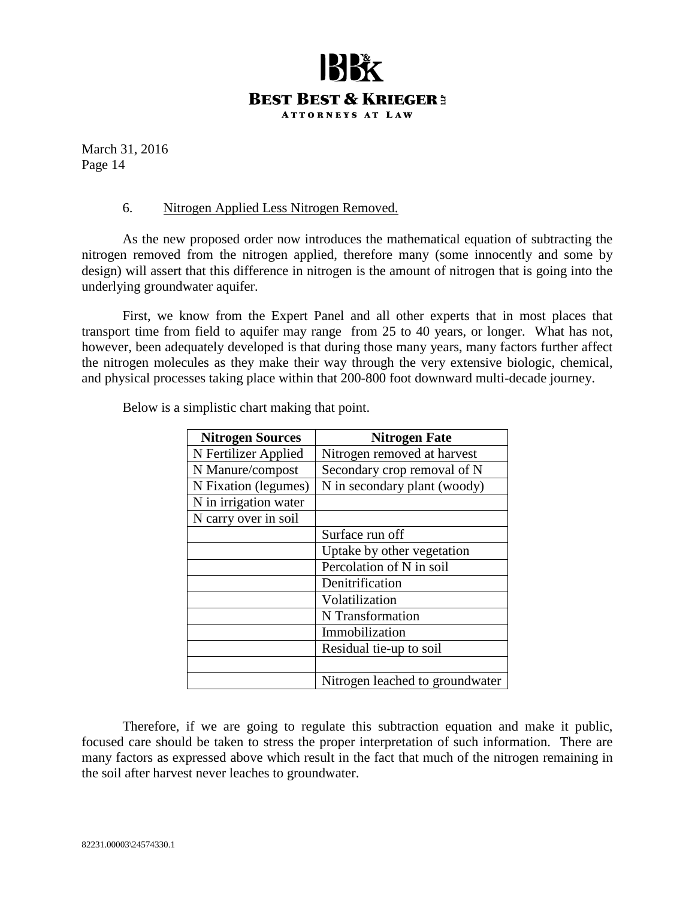## **BEST BEST & KRIEGER3 ATTORNEYS AT LAW**

March 31, 2016 Page 14

#### 6. Nitrogen Applied Less Nitrogen Removed.

As the new proposed order now introduces the mathematical equation of subtracting the nitrogen removed from the nitrogen applied, therefore many (some innocently and some by design) will assert that this difference in nitrogen is the amount of nitrogen that is going into the underlying groundwater aquifer.

First, we know from the Expert Panel and all other experts that in most places that transport time from field to aquifer may range from 25 to 40 years, or longer. What has not, however, been adequately developed is that during those many years, many factors further affect the nitrogen molecules as they make their way through the very extensive biologic, chemical, and physical processes taking place within that 200-800 foot downward multi-decade journey.

| <b>Nitrogen Sources</b> | <b>Nitrogen Fate</b>            |
|-------------------------|---------------------------------|
| N Fertilizer Applied    | Nitrogen removed at harvest     |
| N Manure/compost        | Secondary crop removal of N     |
| N Fixation (legumes)    | N in secondary plant (woody)    |
| N in irrigation water   |                                 |
| N carry over in soil    |                                 |
|                         | Surface run off                 |
|                         | Uptake by other vegetation      |
|                         | Percolation of N in soil        |
|                         | Denitrification                 |
|                         | Volatilization                  |
|                         | N Transformation                |
|                         | Immobilization                  |
|                         | Residual tie-up to soil         |
|                         |                                 |
|                         | Nitrogen leached to groundwater |

Below is a simplistic chart making that point.

Therefore, if we are going to regulate this subtraction equation and make it public, focused care should be taken to stress the proper interpretation of such information. There are many factors as expressed above which result in the fact that much of the nitrogen remaining in the soil after harvest never leaches to groundwater.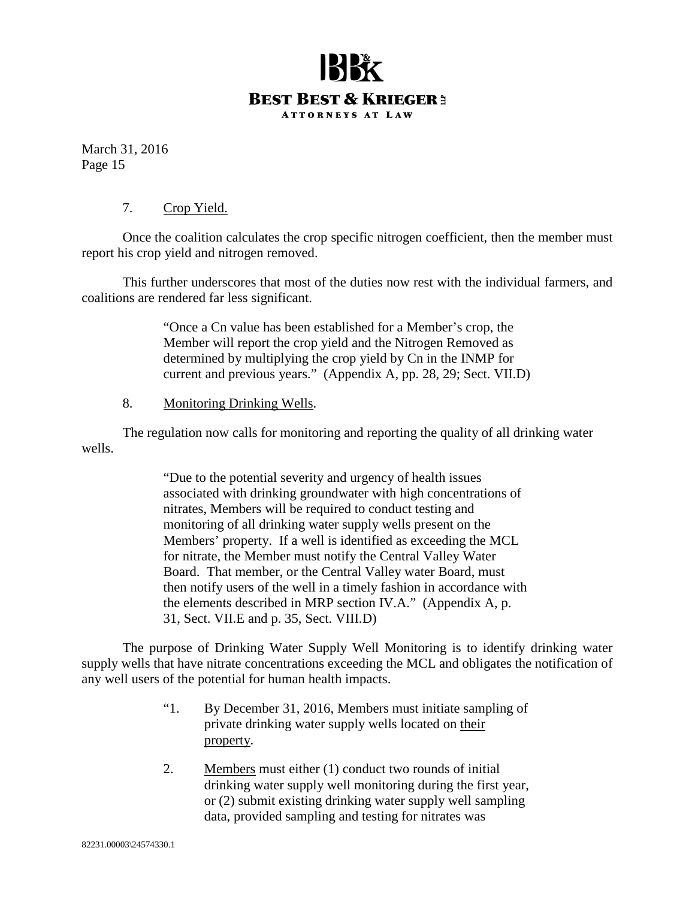

#### 7. Crop Yield.

Once the coalition calculates the crop specific nitrogen coefficient, then the member must report his crop yield and nitrogen removed.

This further underscores that most of the duties now rest with the individual farmers, and coalitions are rendered far less significant.

> "Once a Cn value has been established for a Member's crop, the Member will report the crop yield and the Nitrogen Removed as determined by multiplying the crop yield by Cn in the INMP for current and previous years." (Appendix A, pp. 28, 29; Sect. VII.D)

#### 8. Monitoring Drinking Wells.

The regulation now calls for monitoring and reporting the quality of all drinking water wells.

> "Due to the potential severity and urgency of health issues associated with drinking groundwater with high concentrations of nitrates, Members will be required to conduct testing and monitoring of all drinking water supply wells present on the Members' property. If a well is identified as exceeding the MCL for nitrate, the Member must notify the Central Valley Water Board. That member, or the Central Valley water Board, must then notify users of the well in a timely fashion in accordance with the elements described in MRP section IV.A." (Appendix A, p. 31, Sect. VII.E and p. 35, Sect. VIII.D)

The purpose of Drinking Water Supply Well Monitoring is to identify drinking water supply wells that have nitrate concentrations exceeding the MCL and obligates the notification of any well users of the potential for human health impacts.

- "1. By December 31, 2016, Members must initiate sampling of private drinking water supply wells located on their property.
- 2. Members must either (1) conduct two rounds of initial drinking water supply well monitoring during the first year, or (2) submit existing drinking water supply well sampling data, provided sampling and testing for nitrates was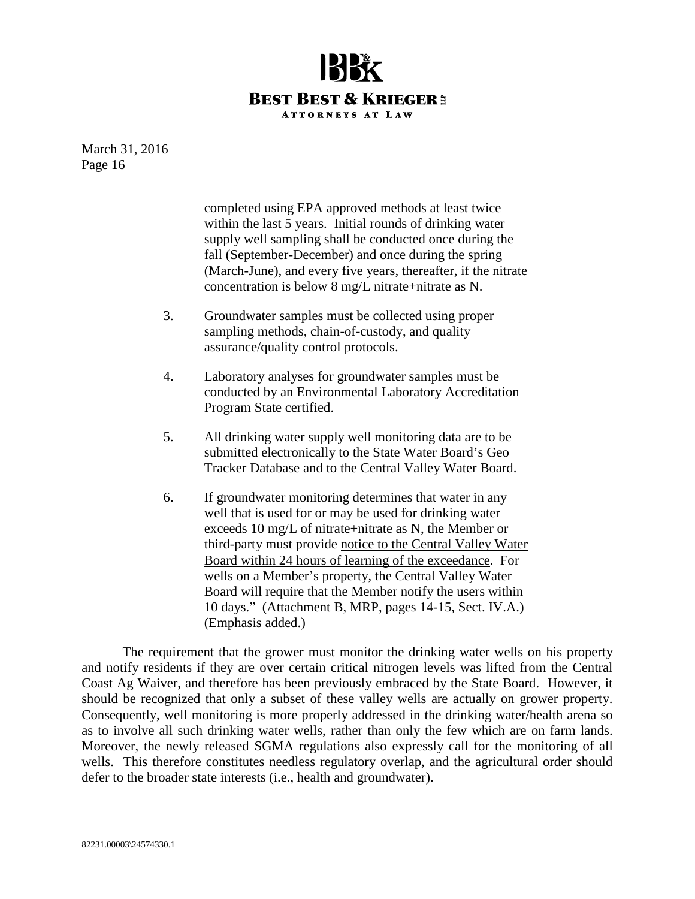

> completed using EPA approved methods at least twice within the last 5 years. Initial rounds of drinking water supply well sampling shall be conducted once during the fall (September-December) and once during the spring (March-June), and every five years, thereafter, if the nitrate concentration is below 8 mg/L nitrate+nitrate as N.

- 3. Groundwater samples must be collected using proper sampling methods, chain-of-custody, and quality assurance/quality control protocols.
- 4. Laboratory analyses for groundwater samples must be conducted by an Environmental Laboratory Accreditation Program State certified.
- 5. All drinking water supply well monitoring data are to be submitted electronically to the State Water Board's Geo Tracker Database and to the Central Valley Water Board.
- 6. If groundwater monitoring determines that water in any well that is used for or may be used for drinking water exceeds 10 mg/L of nitrate+nitrate as N, the Member or third-party must provide notice to the Central Valley Water Board within 24 hours of learning of the exceedance. For wells on a Member's property, the Central Valley Water Board will require that the Member notify the users within 10 days." (Attachment B, MRP, pages 14-15, Sect. IV.A.) (Emphasis added.)

The requirement that the grower must monitor the drinking water wells on his property and notify residents if they are over certain critical nitrogen levels was lifted from the Central Coast Ag Waiver, and therefore has been previously embraced by the State Board. However, it should be recognized that only a subset of these valley wells are actually on grower property. Consequently, well monitoring is more properly addressed in the drinking water/health arena so as to involve all such drinking water wells, rather than only the few which are on farm lands. Moreover, the newly released SGMA regulations also expressly call for the monitoring of all wells. This therefore constitutes needless regulatory overlap, and the agricultural order should defer to the broader state interests (i.e., health and groundwater).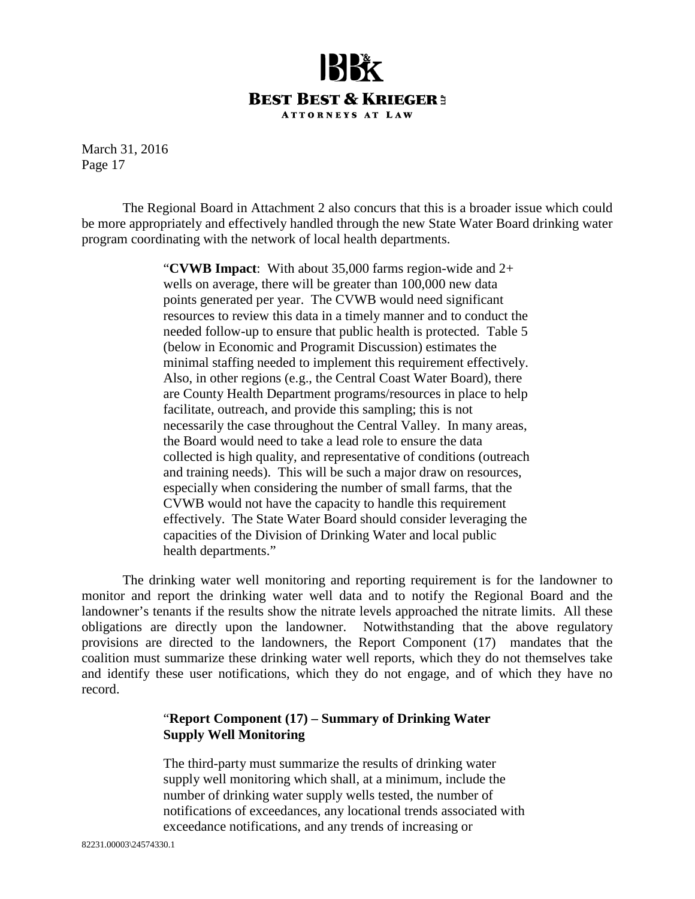

The Regional Board in Attachment 2 also concurs that this is a broader issue which could be more appropriately and effectively handled through the new State Water Board drinking water program coordinating with the network of local health departments.

> "**CVWB Impact**: With about 35,000 farms region-wide and 2+ wells on average, there will be greater than 100,000 new data points generated per year. The CVWB would need significant resources to review this data in a timely manner and to conduct the needed follow-up to ensure that public health is protected. Table 5 (below in Economic and Programit Discussion) estimates the minimal staffing needed to implement this requirement effectively. Also, in other regions (e.g., the Central Coast Water Board), there are County Health Department programs/resources in place to help facilitate, outreach, and provide this sampling; this is not necessarily the case throughout the Central Valley. In many areas, the Board would need to take a lead role to ensure the data collected is high quality, and representative of conditions (outreach and training needs). This will be such a major draw on resources, especially when considering the number of small farms, that the CVWB would not have the capacity to handle this requirement effectively. The State Water Board should consider leveraging the capacities of the Division of Drinking Water and local public health departments."

The drinking water well monitoring and reporting requirement is for the landowner to monitor and report the drinking water well data and to notify the Regional Board and the landowner's tenants if the results show the nitrate levels approached the nitrate limits. All these obligations are directly upon the landowner. Notwithstanding that the above regulatory provisions are directed to the landowners, the Report Component (17) mandates that the coalition must summarize these drinking water well reports, which they do not themselves take and identify these user notifications, which they do not engage, and of which they have no record.

#### "**Report Component (17) – Summary of Drinking Water Supply Well Monitoring**

The third-party must summarize the results of drinking water supply well monitoring which shall, at a minimum, include the number of drinking water supply wells tested, the number of notifications of exceedances, any locational trends associated with exceedance notifications, and any trends of increasing or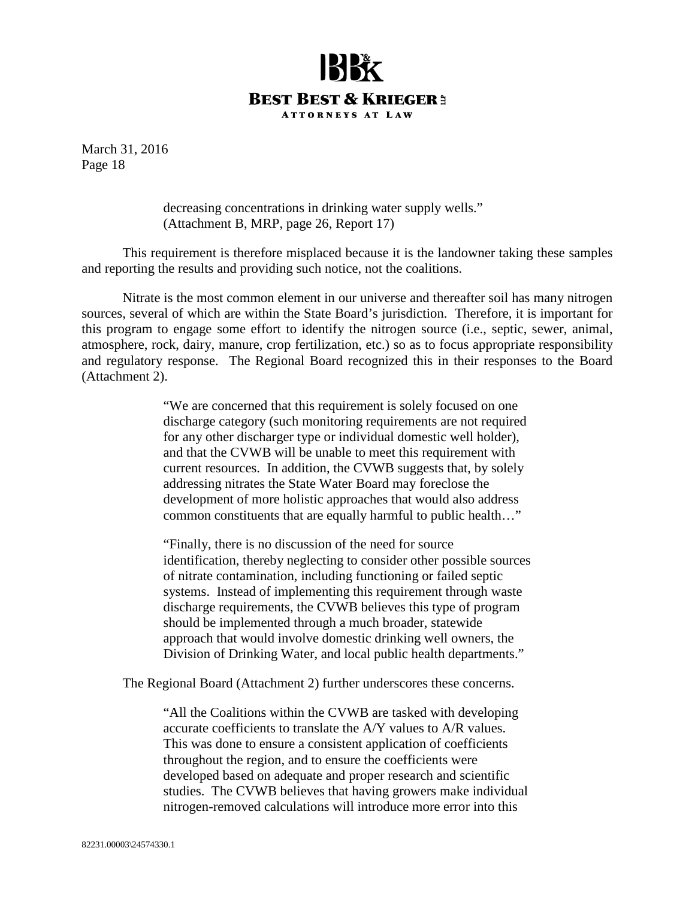

> decreasing concentrations in drinking water supply wells." (Attachment B, MRP, page 26, Report 17)

This requirement is therefore misplaced because it is the landowner taking these samples and reporting the results and providing such notice, not the coalitions.

Nitrate is the most common element in our universe and thereafter soil has many nitrogen sources, several of which are within the State Board's jurisdiction. Therefore, it is important for this program to engage some effort to identify the nitrogen source (i.e., septic, sewer, animal, atmosphere, rock, dairy, manure, crop fertilization, etc.) so as to focus appropriate responsibility and regulatory response. The Regional Board recognized this in their responses to the Board (Attachment 2).

> "We are concerned that this requirement is solely focused on one discharge category (such monitoring requirements are not required for any other discharger type or individual domestic well holder), and that the CVWB will be unable to meet this requirement with current resources. In addition, the CVWB suggests that, by solely addressing nitrates the State Water Board may foreclose the development of more holistic approaches that would also address common constituents that are equally harmful to public health…"

> "Finally, there is no discussion of the need for source identification, thereby neglecting to consider other possible sources of nitrate contamination, including functioning or failed septic systems. Instead of implementing this requirement through waste discharge requirements, the CVWB believes this type of program should be implemented through a much broader, statewide approach that would involve domestic drinking well owners, the Division of Drinking Water, and local public health departments."

The Regional Board (Attachment 2) further underscores these concerns.

"All the Coalitions within the CVWB are tasked with developing accurate coefficients to translate the A/Y values to A/R values. This was done to ensure a consistent application of coefficients throughout the region, and to ensure the coefficients were developed based on adequate and proper research and scientific studies. The CVWB believes that having growers make individual nitrogen-removed calculations will introduce more error into this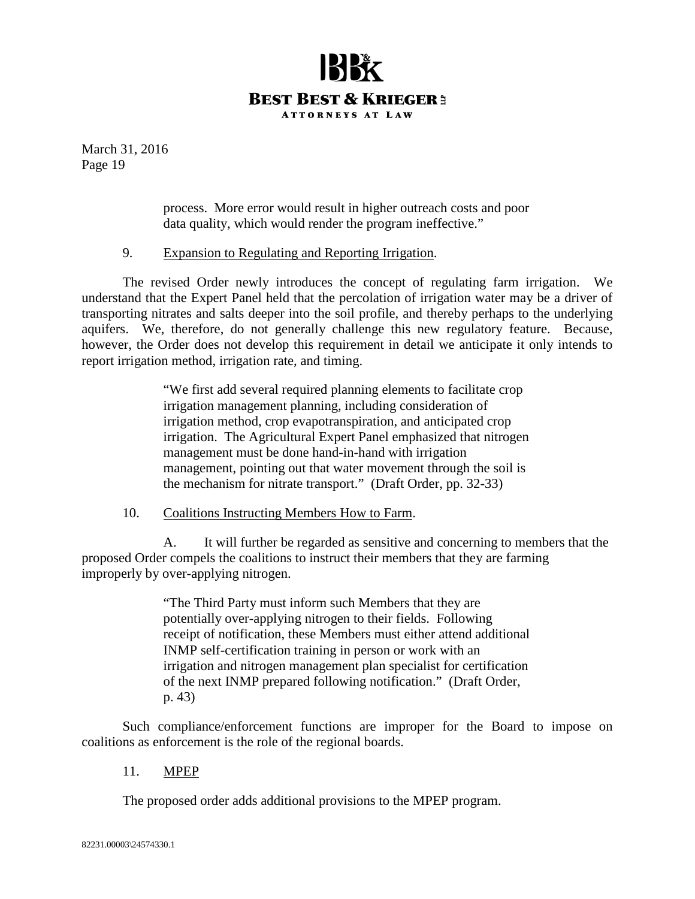

> process. More error would result in higher outreach costs and poor data quality, which would render the program ineffective."

#### 9. Expansion to Regulating and Reporting Irrigation.

The revised Order newly introduces the concept of regulating farm irrigation. We understand that the Expert Panel held that the percolation of irrigation water may be a driver of transporting nitrates and salts deeper into the soil profile, and thereby perhaps to the underlying aquifers. We, therefore, do not generally challenge this new regulatory feature. Because, however, the Order does not develop this requirement in detail we anticipate it only intends to report irrigation method, irrigation rate, and timing.

> "We first add several required planning elements to facilitate crop irrigation management planning, including consideration of irrigation method, crop evapotranspiration, and anticipated crop irrigation. The Agricultural Expert Panel emphasized that nitrogen management must be done hand-in-hand with irrigation management, pointing out that water movement through the soil is the mechanism for nitrate transport." (Draft Order, pp. 32-33)

10. Coalitions Instructing Members How to Farm.

A. It will further be regarded as sensitive and concerning to members that the proposed Order compels the coalitions to instruct their members that they are farming improperly by over-applying nitrogen.

> "The Third Party must inform such Members that they are potentially over-applying nitrogen to their fields. Following receipt of notification, these Members must either attend additional INMP self-certification training in person or work with an irrigation and nitrogen management plan specialist for certification of the next INMP prepared following notification." (Draft Order, p. 43)

Such compliance/enforcement functions are improper for the Board to impose on coalitions as enforcement is the role of the regional boards.

11. MPEP

The proposed order adds additional provisions to the MPEP program.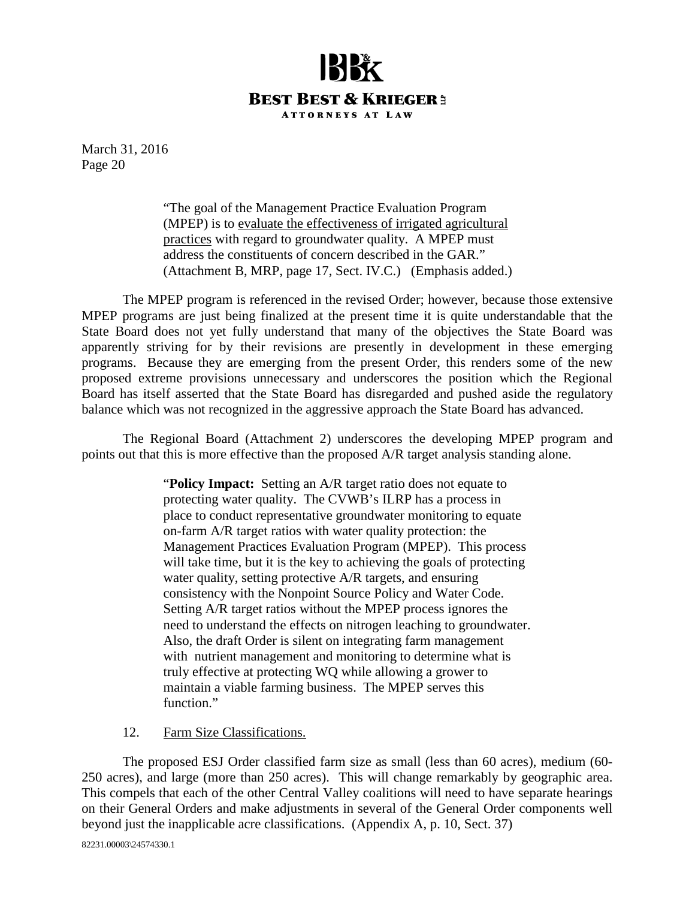

> "The goal of the Management Practice Evaluation Program (MPEP) is to evaluate the effectiveness of irrigated agricultural practices with regard to groundwater quality. A MPEP must address the constituents of concern described in the GAR." (Attachment B, MRP, page 17, Sect. IV.C.) (Emphasis added.)

The MPEP program is referenced in the revised Order; however, because those extensive MPEP programs are just being finalized at the present time it is quite understandable that the State Board does not yet fully understand that many of the objectives the State Board was apparently striving for by their revisions are presently in development in these emerging programs. Because they are emerging from the present Order, this renders some of the new proposed extreme provisions unnecessary and underscores the position which the Regional Board has itself asserted that the State Board has disregarded and pushed aside the regulatory balance which was not recognized in the aggressive approach the State Board has advanced.

The Regional Board (Attachment 2) underscores the developing MPEP program and points out that this is more effective than the proposed A/R target analysis standing alone.

> "**Policy Impact:** Setting an A/R target ratio does not equate to protecting water quality. The CVWB's ILRP has a process in place to conduct representative groundwater monitoring to equate on-farm A/R target ratios with water quality protection: the Management Practices Evaluation Program (MPEP). This process will take time, but it is the key to achieving the goals of protecting water quality, setting protective A/R targets, and ensuring consistency with the Nonpoint Source Policy and Water Code. Setting A/R target ratios without the MPEP process ignores the need to understand the effects on nitrogen leaching to groundwater. Also, the draft Order is silent on integrating farm management with nutrient management and monitoring to determine what is truly effective at protecting WQ while allowing a grower to maintain a viable farming business. The MPEP serves this function."

#### 12. Farm Size Classifications.

The proposed ESJ Order classified farm size as small (less than 60 acres), medium (60- 250 acres), and large (more than 250 acres). This will change remarkably by geographic area. This compels that each of the other Central Valley coalitions will need to have separate hearings on their General Orders and make adjustments in several of the General Order components well beyond just the inapplicable acre classifications. (Appendix A, p. 10, Sect. 37)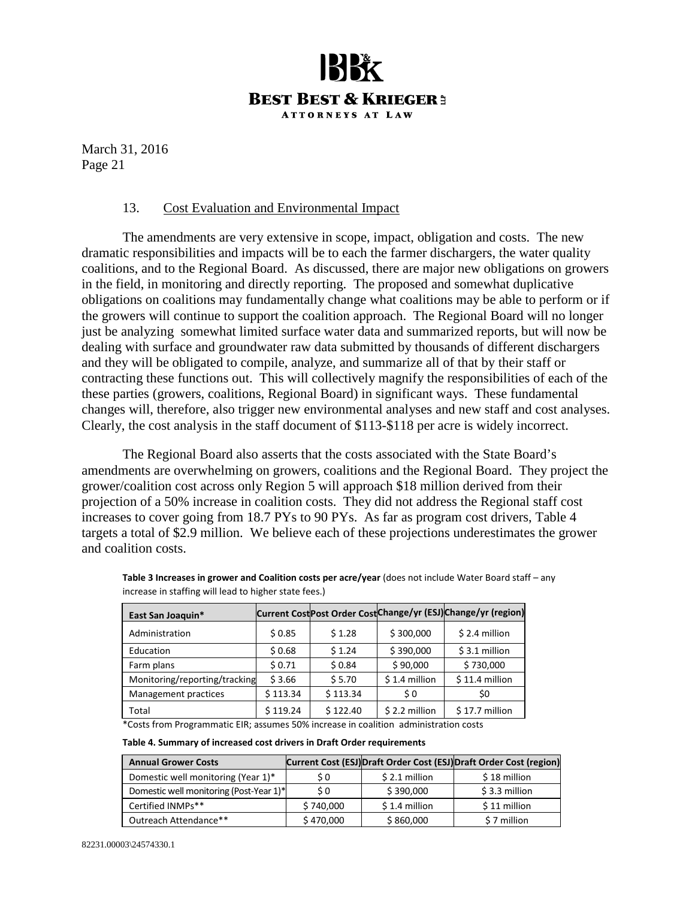

#### 13. Cost Evaluation and Environmental Impact

The amendments are very extensive in scope, impact, obligation and costs. The new dramatic responsibilities and impacts will be to each the farmer dischargers, the water quality coalitions, and to the Regional Board. As discussed, there are major new obligations on growers in the field, in monitoring and directly reporting. The proposed and somewhat duplicative obligations on coalitions may fundamentally change what coalitions may be able to perform or if the growers will continue to support the coalition approach. The Regional Board will no longer just be analyzing somewhat limited surface water data and summarized reports, but will now be dealing with surface and groundwater raw data submitted by thousands of different dischargers and they will be obligated to compile, analyze, and summarize all of that by their staff or contracting these functions out. This will collectively magnify the responsibilities of each of the these parties (growers, coalitions, Regional Board) in significant ways. These fundamental changes will, therefore, also trigger new environmental analyses and new staff and cost analyses. Clearly, the cost analysis in the staff document of \$113-\$118 per acre is widely incorrect.

The Regional Board also asserts that the costs associated with the State Board's amendments are overwhelming on growers, coalitions and the Regional Board. They project the grower/coalition cost across only Region 5 will approach \$18 million derived from their projection of a 50% increase in coalition costs. They did not address the Regional staff cost increases to cover going from 18.7 PYs to 90 PYs. As far as program cost drivers, Table 4 targets a total of \$2.9 million. We believe each of these projections underestimates the grower and coalition costs.

| East San Joaquin*             |          |          |                | Current Cost Post Order Cost Change/yr (ESJ) Change/yr (region) |
|-------------------------------|----------|----------|----------------|-----------------------------------------------------------------|
| Administration                | \$0.85   | \$1.28   | \$300,000      | $$2.4$ million                                                  |
| Education                     | \$0.68   | \$1.24   | \$390,000      | $$3.1$ million                                                  |
| Farm plans                    | \$0.71   | \$0.84   | \$90,000       | \$730,000                                                       |
| Monitoring/reporting/tracking | \$3.66   | \$5.70   | $$1.4$ million | $$11.4$ million                                                 |
| Management practices          | \$113.34 | \$113.34 | \$0            | \$0                                                             |
| Total                         | \$119.24 | \$122.40 | $$2.2$ million | $$17.7$ million                                                 |

**Table 3 Increases in grower and Coalition costs per acre/year** (does not include Water Board staff – any increase in staffing will lead to higher state fees.)

\*Costs from Programmatic EIR; assumes 50% increase in coalition administration costs

| Table 4. Summary of increased cost drivers in Draft Order requirements |  |  |  |  |
|------------------------------------------------------------------------|--|--|--|--|
|------------------------------------------------------------------------|--|--|--|--|

| <b>Annual Grower Costs</b>              |           |                | Current Cost (ESJ) Draft Order Cost (ESJ) Draft Order Cost (region) |
|-----------------------------------------|-----------|----------------|---------------------------------------------------------------------|
| Domestic well monitoring (Year 1)*      | S O       | $$2.1$ million | \$18 million                                                        |
| Domestic well monitoring (Post-Year 1)* | S O       | \$390,000      | \$3.3 million                                                       |
| Certified INMPs**                       | \$740,000 | $$1.4$ million | \$11 million                                                        |
| Outreach Attendance**                   | \$470,000 | \$860,000      | \$7 million                                                         |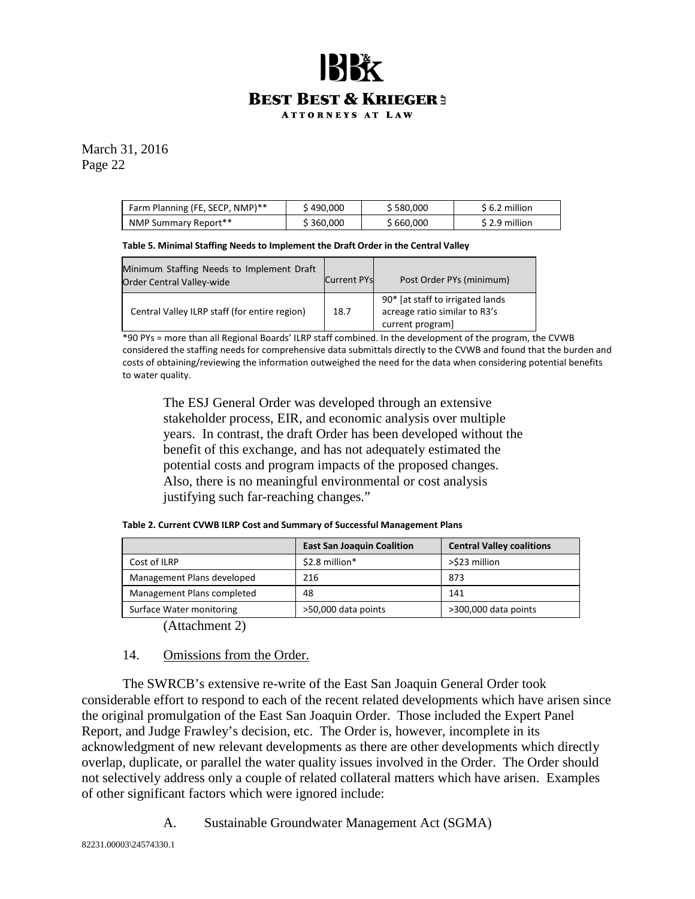### **BEST BEST & KRIEGER3 ATTORNEYS AT LAW**

March 31, 2016 Page 22

| Farm Planning (FE, SECP, NMP)** | 490,000 ر         | \$580.000 | \$6.2 million |
|---------------------------------|-------------------|-----------|---------------|
| NMP Summary Report**            | $\hat{ }$ 360,000 | \$660,000 | S 2.9 million |

**Table 5. Minimal Staffing Needs to Implement the Draft Order in the Central Valley**

| Minimum Staffing Needs to Implement Draft<br><b>Order Central Valley-wide</b> | <b>Current PYs</b> | Post Order PYs (minimum)                                                              |
|-------------------------------------------------------------------------------|--------------------|---------------------------------------------------------------------------------------|
| Central Valley ILRP staff (for entire region)                                 | 18.7               | 90* [at staff to irrigated lands<br>acreage ratio similar to R3's<br>current program] |

\*90 PYs = more than all Regional Boards' ILRP staff combined. In the development of the program, the CVWB considered the staffing needs for comprehensive data submittals directly to the CVWB and found that the burden and costs of obtaining/reviewing the information outweighed the need for the data when considering potential benefits to water quality.

The ESJ General Order was developed through an extensive stakeholder process, EIR, and economic analysis over multiple years. In contrast, the draft Order has been developed without the benefit of this exchange, and has not adequately estimated the potential costs and program impacts of the proposed changes. Also, there is no meaningful environmental or cost analysis justifying such far-reaching changes."

| Table 2. Current CVWB ILRP Cost and Summary of Successful Management Plans |  |
|----------------------------------------------------------------------------|--|
|----------------------------------------------------------------------------|--|

|                            | <b>East San Joaquin Coalition</b> | <b>Central Valley coalitions</b> |
|----------------------------|-----------------------------------|----------------------------------|
| Cost of ILRP               | \$2.8 million*                    | >\$23 million                    |
| Management Plans developed | 216                               | 873                              |
| Management Plans completed | 48                                | 141                              |
| Surface Water monitoring   | >50,000 data points               | >300,000 data points             |

(Attachment 2)

#### 14. Omissions from the Order.

The SWRCB's extensive re-write of the East San Joaquin General Order took considerable effort to respond to each of the recent related developments which have arisen since the original promulgation of the East San Joaquin Order. Those included the Expert Panel Report, and Judge Frawley's decision, etc. The Order is, however, incomplete in its acknowledgment of new relevant developments as there are other developments which directly overlap, duplicate, or parallel the water quality issues involved in the Order. The Order should not selectively address only a couple of related collateral matters which have arisen. Examples of other significant factors which were ignored include:

A. Sustainable Groundwater Management Act (SGMA)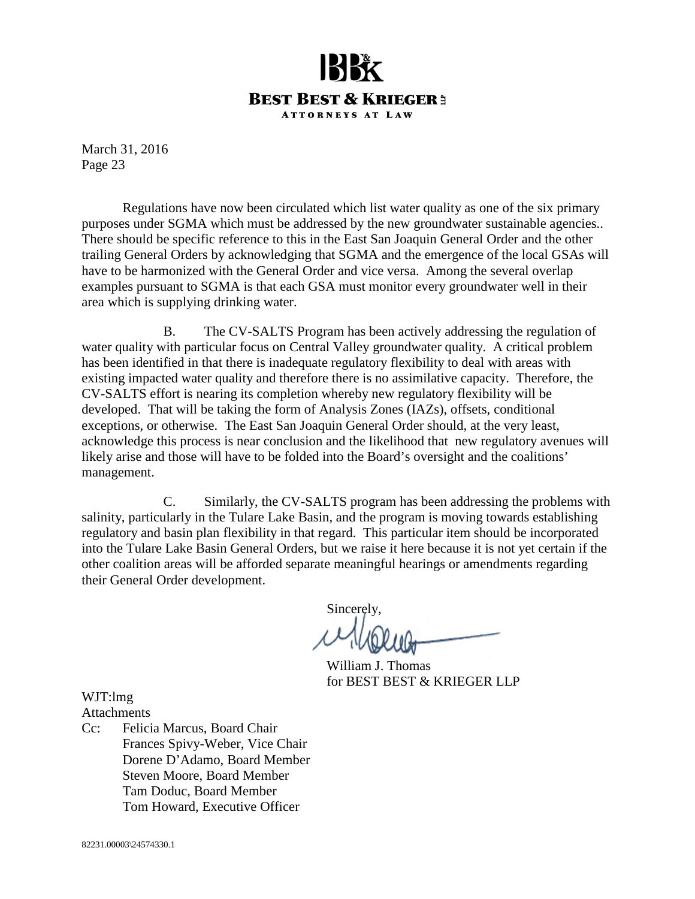

Regulations have now been circulated which list water quality as one of the six primary purposes under SGMA which must be addressed by the new groundwater sustainable agencies.. There should be specific reference to this in the East San Joaquin General Order and the other trailing General Orders by acknowledging that SGMA and the emergence of the local GSAs will have to be harmonized with the General Order and vice versa. Among the several overlap examples pursuant to SGMA is that each GSA must monitor every groundwater well in their area which is supplying drinking water.

B. The CV-SALTS Program has been actively addressing the regulation of water quality with particular focus on Central Valley groundwater quality. A critical problem has been identified in that there is inadequate regulatory flexibility to deal with areas with existing impacted water quality and therefore there is no assimilative capacity. Therefore, the CV-SALTS effort is nearing its completion whereby new regulatory flexibility will be developed. That will be taking the form of Analysis Zones (IAZs), offsets, conditional exceptions, or otherwise. The East San Joaquin General Order should, at the very least, acknowledge this process is near conclusion and the likelihood that new regulatory avenues will likely arise and those will have to be folded into the Board's oversight and the coalitions' management.

C. Similarly, the CV-SALTS program has been addressing the problems with salinity, particularly in the Tulare Lake Basin, and the program is moving towards establishing regulatory and basin plan flexibility in that regard. This particular item should be incorporated into the Tulare Lake Basin General Orders, but we raise it here because it is not yet certain if the other coalition areas will be afforded separate meaningful hearings or amendments regarding their General Order development.

Sincerely,

William J. Thomas for BEST BEST & KRIEGER LLP

WJT:lmg **Attachments** 

Cc: Felicia Marcus, Board Chair Frances Spivy-Weber, Vice Chair Dorene D'Adamo, Board Member Steven Moore, Board Member Tam Doduc, Board Member Tom Howard, Executive Officer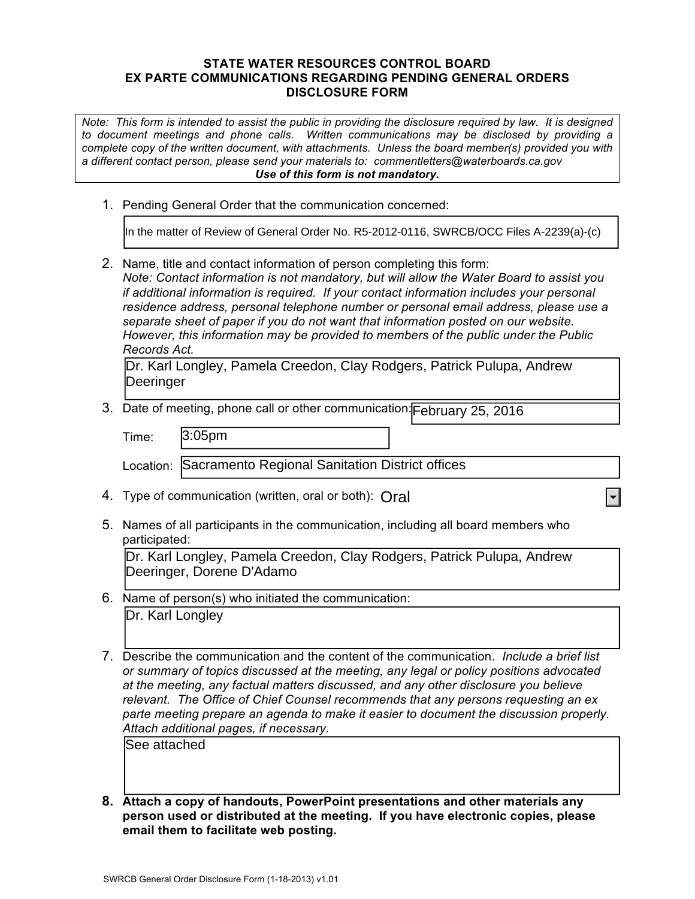#### **STATE WATER RESOURCES CONTROL BOARD EX PARTE COMMUNICATIONS REGARDING PENDING GENERAL ORDERS DISCLOSURE FORM**

*Note: This form is intended to assist the public in providing the disclosure required by law. It is designed to document meetings and phone calls. Written communications may be disclosed by providing a complete copy of the written document, with attachments. Unless the board member(s) provided you with a different contact person, please send your materials to: commentletters@waterboards.ca.gov Use of this form is not mandatory.*

1. Pending General Order that the communication concerned:

2. Name, title and contact information of person completing this form: *Note: Contact information is not mandatory, but will allow the Water Board to assist you if additional information is required. If your contact information includes your personal residence address, personal telephone number or personal email address, please use a separate sheet of paper if you do not want that information posted on our website. However, this information may be provided to members of the public under the Public Records Act.* In the matter of Review of General Order No. R5-2012-0116, SWRCB/OCC Files A-2239(a)-(c)<br>
2. Name, title and ontata information of president of Dersen completing fils from:<br>
Note: Contast information is not mandatory, but

Dr. Karl Longley, Pamela Creedon, Clay Rodgers, Patrick Pulupa, Andrew Deeringer

3. Date of meeting, phone call or other communication: February 25, 2016

| Time: | 3:05 <sub>pm</sub>                                        |  |
|-------|-----------------------------------------------------------|--|
|       | Location: Sacramento Regional Sanitation District offices |  |

- 4. Type of communication (written, oral or both): Oral
- 5. Names of all participants in the communication, including all board members who participated:

Dr. Karl Longley, Pamela Creedon, Clay Rodgers, Patrick Pulupa, Andrew Deeringer, Dorene D'Adamo

- 6. Name of person(s) who initiated the communication: Dr. Karl Longley
- 7. Describe the communication and the content of the communication. *Include a brief list or summary of topics discussed at the meeting, any legal or policy positions advocated at the meeting, any factual matters discussed, and any other disclosure you believe relevant. The Office of Chief Counsel recommends that any persons requesting an ex parte meeting prepare an agenda to make it easier to document the discussion properly. Attach additional pages, if necessary.*

See attached

**8. Attach a copy of handouts, PowerPoint presentations and other materials any person used or distributed at the meeting. If you have electronic copies, please email them to facilitate web posting.**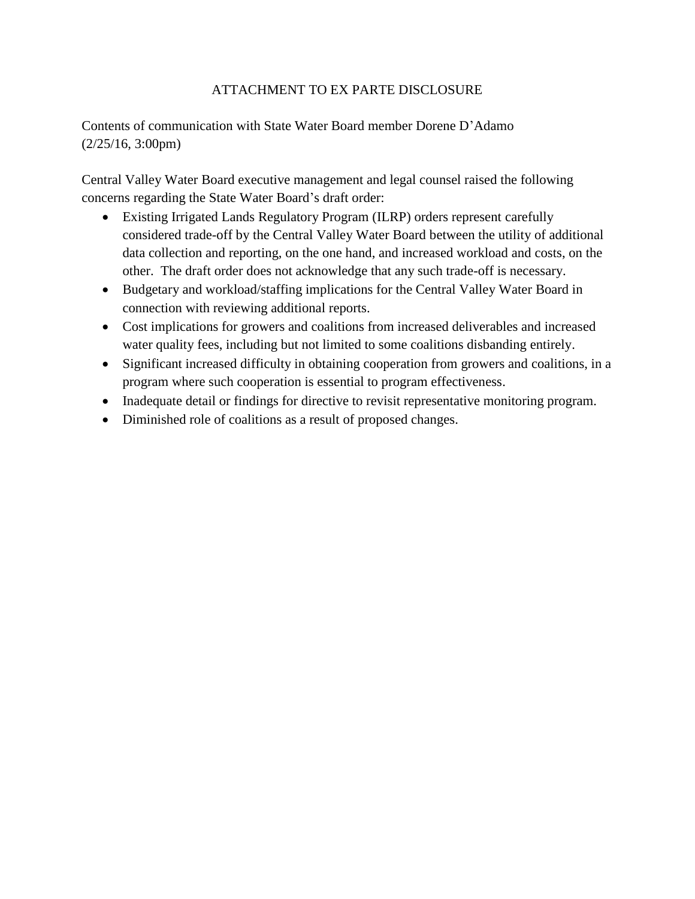#### ATTACHMENT TO EX PARTE DISCLOSURE

Contents of communication with State Water Board member Dorene D'Adamo (2/25/16, 3:00pm)

Central Valley Water Board executive management and legal counsel raised the following concerns regarding the State Water Board's draft order:

- Existing Irrigated Lands Regulatory Program (ILRP) orders represent carefully considered trade-off by the Central Valley Water Board between the utility of additional data collection and reporting, on the one hand, and increased workload and costs, on the other. The draft order does not acknowledge that any such trade-off is necessary.
- Budgetary and workload/staffing implications for the Central Valley Water Board in connection with reviewing additional reports.
- Cost implications for growers and coalitions from increased deliverables and increased water quality fees, including but not limited to some coalitions disbanding entirely.
- Significant increased difficulty in obtaining cooperation from growers and coalitions, in a program where such cooperation is essential to program effectiveness.
- Inadequate detail or findings for directive to revisit representative monitoring program.
- Diminished role of coalitions as a result of proposed changes.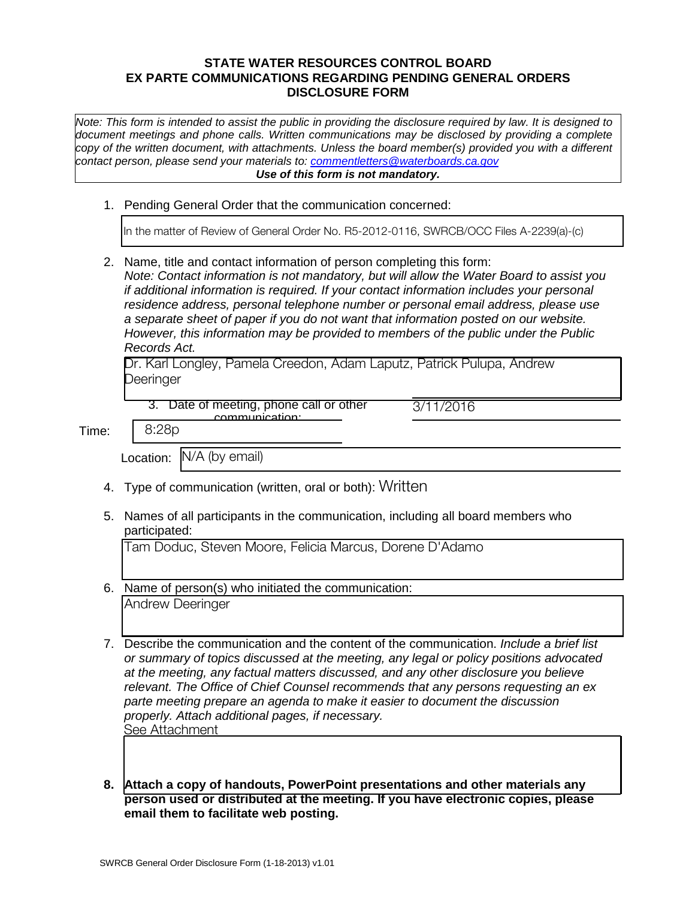#### **STATE WATER RESOURCES CONTROL BOARD EX PARTE COMMUNICATIONS REGARDING PENDING GENERAL ORDERS DISCLOSURE FORM**

*Note: This form is intended to assist the public in providing the disclosure required by law. It is designed to document meetings and phone calls. Written communications may be disclosed by providing a complete copy of the written document, with attachments. Unless the board member(s) provided you with a different contact person, please send your materials to: [commentletters@waterboards.ca.gov](mailto:commentletters@waterboards.ca.gov) Use of this form is not mandatory.*

1. Pending General Order that the communication concerned:

In the matter of Review of General Order No. R5-2012-0116, SWRCB/OCC Files A-2239(a)-(c)

2. Name, title and contact information of person completing this form: *Note: Contact information is not mandatory, but will allow the Water Board to assist you if additional information is required. If your contact information includes your personal residence address, personal telephone number or personal email address, please use a separate sheet of paper if you do not want that information posted on our website. However, this information may be provided to members of the public under the Public Records Act.*

Dr. Karl Longley, Pamela Creedon, Adam Laputz, Patrick Pulupa, Andrew Deeringer

3. Date of meeting, phone call or other communication:

3/11/2016

Time: 8:28p

m Location: N/A (by email)

- 4. Type of communication (written, oral or both): Written
- 5. Names of all participants in the communication, including all board members who participated:

Tam Doduc, Steven Moore, Felicia Marcus, Dorene D'Adamo

- 6. Name of person(s) who initiated the communication: Andrew Deeringer
- 7. Describe the communication and the content of the communication. *Include a brief list or summary of topics discussed at the meeting, any legal or policy positions advocated at the meeting, any factual matters discussed, and any other disclosure you believe relevant. The Office of Chief Counsel recommends that any persons requesting an ex parte meeting prepare an agenda to make it easier to document the discussion properly. Attach additional pages, if necessary.* See Attachment
- **8. Attach a copy of handouts, PowerPoint presentations and other materials any person used or distributed at the meeting. If you have electronic copies, please email them to facilitate web posting.**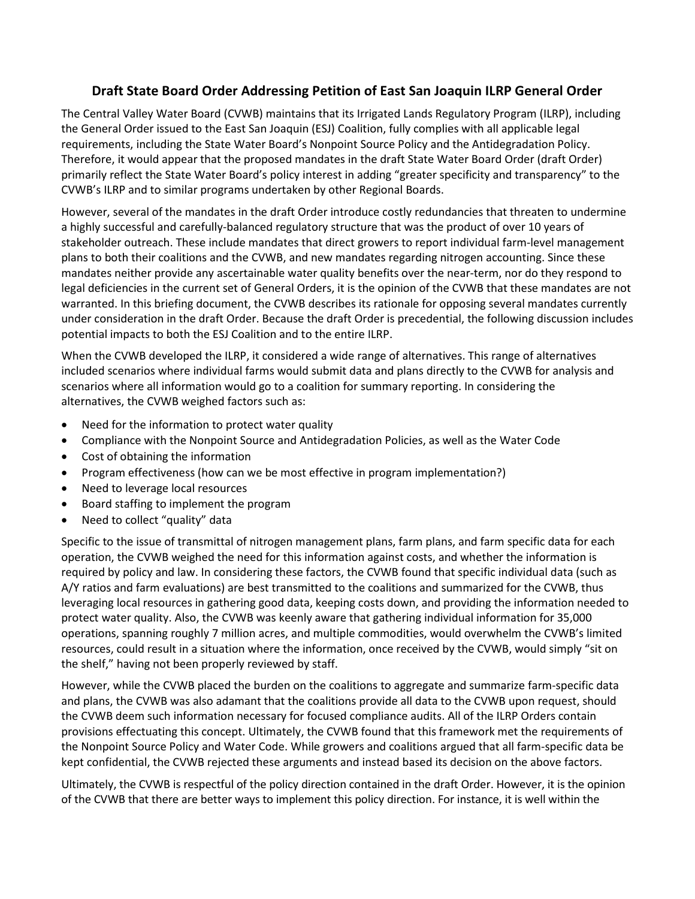### **Draft State Board Order Addressing Petition of East San Joaquin ILRP General Order**

The Central Valley Water Board (CVWB) maintains that its Irrigated Lands Regulatory Program (ILRP), including the General Order issued to the East San Joaquin (ESJ) Coalition, fully complies with all applicable legal requirements, including the State Water Board's Nonpoint Source Policy and the Antidegradation Policy. Therefore, it would appear that the proposed mandates in the draft State Water Board Order (draft Order) primarily reflect the State Water Board's policy interest in adding "greater specificity and transparency" to the CVWB's ILRP and to similar programs undertaken by other Regional Boards.

However, several of the mandates in the draft Order introduce costly redundancies that threaten to undermine a highly successful and carefully-balanced regulatory structure that was the product of over 10 years of stakeholder outreach. These include mandates that direct growers to report individual farm-level management plans to both their coalitions and the CVWB, and new mandates regarding nitrogen accounting. Since these mandates neither provide any ascertainable water quality benefits over the near-term, nor do they respond to legal deficiencies in the current set of General Orders, it is the opinion of the CVWB that these mandates are not warranted. In this briefing document, the CVWB describes its rationale for opposing several mandates currently under consideration in the draft Order. Because the draft Order is precedential, the following discussion includes potential impacts to both the ESJ Coalition and to the entire ILRP.

When the CVWB developed the ILRP, it considered a wide range of alternatives. This range of alternatives included scenarios where individual farms would submit data and plans directly to the CVWB for analysis and scenarios where all information would go to a coalition for summary reporting. In considering the alternatives, the CVWB weighed factors such as:

- Need for the information to protect water quality
- Compliance with the Nonpoint Source and Antidegradation Policies, as well as the Water Code
- Cost of obtaining the information
- Program effectiveness (how can we be most effective in program implementation?)
- Need to leverage local resources
- Board staffing to implement the program
- Need to collect "quality" data

Specific to the issue of transmittal of nitrogen management plans, farm plans, and farm specific data for each operation, the CVWB weighed the need for this information against costs, and whether the information is required by policy and law. In considering these factors, the CVWB found that specific individual data (such as A/Y ratios and farm evaluations) are best transmitted to the coalitions and summarized for the CVWB, thus leveraging local resources in gathering good data, keeping costs down, and providing the information needed to protect water quality. Also, the CVWB was keenly aware that gathering individual information for 35,000 operations, spanning roughly 7 million acres, and multiple commodities, would overwhelm the CVWB's limited resources, could result in a situation where the information, once received by the CVWB, would simply "sit on the shelf," having not been properly reviewed by staff.

However, while the CVWB placed the burden on the coalitions to aggregate and summarize farm-specific data and plans, the CVWB was also adamant that the coalitions provide all data to the CVWB upon request, should the CVWB deem such information necessary for focused compliance audits. All of the ILRP Orders contain provisions effectuating this concept. Ultimately, the CVWB found that this framework met the requirements of the Nonpoint Source Policy and Water Code. While growers and coalitions argued that all farm-specific data be kept confidential, the CVWB rejected these arguments and instead based its decision on the above factors.

Ultimately, the CVWB is respectful of the policy direction contained in the draft Order. However, it is the opinion of the CVWB that there are better ways to implement this policy direction. For instance, it is well within the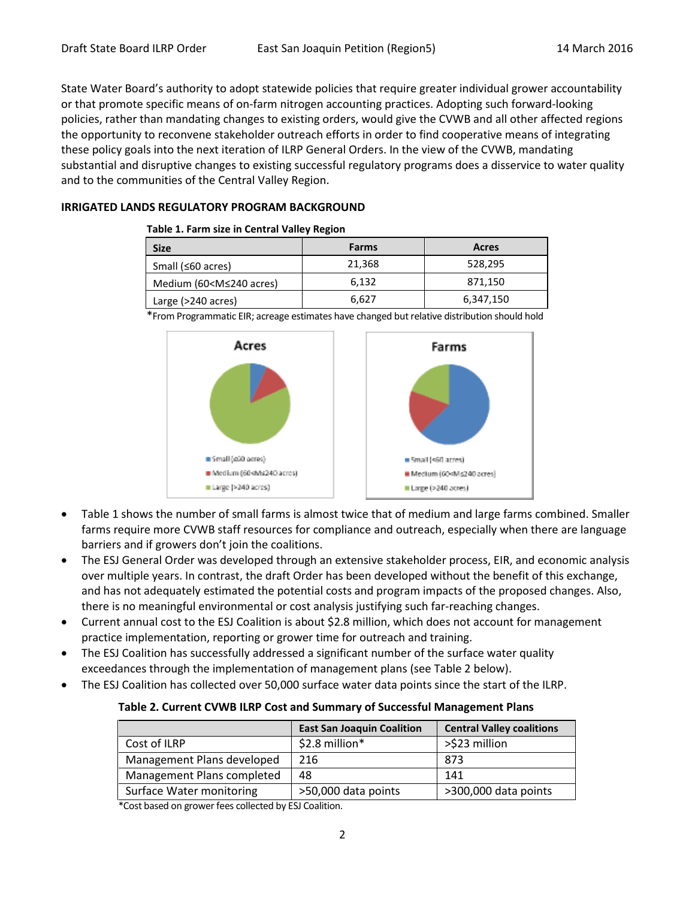State Water Board's authority to adopt statewide policies that require greater individual grower accountability or that promote specific means of on-farm nitrogen accounting practices. Adopting such forward-looking policies, rather than mandating changes to existing orders, would give the CVWB and all other affected regions the opportunity to reconvene stakeholder outreach efforts in order to find cooperative means of integrating these policy goals into the next iteration of ILRP General Orders. In the view of the CVWB, mandating substantial and disruptive changes to existing successful regulatory programs does a disservice to water quality and to the communities of the Central Valley Region.

#### **IRRIGATED LANDS REGULATORY PROGRAM BACKGROUND**

#### **Table 1. Farm size in Central Valley Region**

| <b>Size</b>                                                               | <b>Farms</b> | Acres     |
|---------------------------------------------------------------------------|--------------|-----------|
| Small ( $\leq 60$ acres)                                                  | 21,368       | 528,295   |
| Medium (60 <m≤240 acres)<="" td=""><td>6.132</td><td>871,150</td></m≤240> | 6.132        | 871,150   |
| Large (>240 acres)                                                        | 6,627        | 6,347,150 |

\*From Programmatic EIR; acreage estimates have changed but relative distribution should hold



- Table 1 shows the number of small farms is almost twice that of medium and large farms combined. Smaller farms require more CVWB staff resources for compliance and outreach, especially when there are language barriers and if growers don't join the coalitions.
- The ESJ General Order was developed through an extensive stakeholder process, EIR, and economic analysis over multiple years. In contrast, the draft Order has been developed without the benefit of this exchange, and has not adequately estimated the potential costs and program impacts of the proposed changes. Also, there is no meaningful environmental or cost analysis justifying such far-reaching changes.
- Current annual cost to the ESJ Coalition is about \$2.8 million, which does not account for management practice implementation, reporting or grower time for outreach and training.
- The ESJ Coalition has successfully addressed a significant number of the surface water quality exceedances through the implementation of management plans (see Table 2 below).
- The ESJ Coalition has collected over 50,000 surface water data points since the start of the ILRP.

#### **Table 2. Current CVWB ILRP Cost and Summary of Successful Management Plans**

|                            | <b>East San Joaquin Coalition</b> | <b>Central Valley coalitions</b> |
|----------------------------|-----------------------------------|----------------------------------|
| Cost of ILRP               | \$2.8 million*                    | >\$23 million                    |
| Management Plans developed | 216                               | 873                              |
| Management Plans completed | 48                                | 141                              |
| Surface Water monitoring   | >50,000 data points               | >300,000 data points             |

\*Cost based on grower fees collected by ESJ Coalition.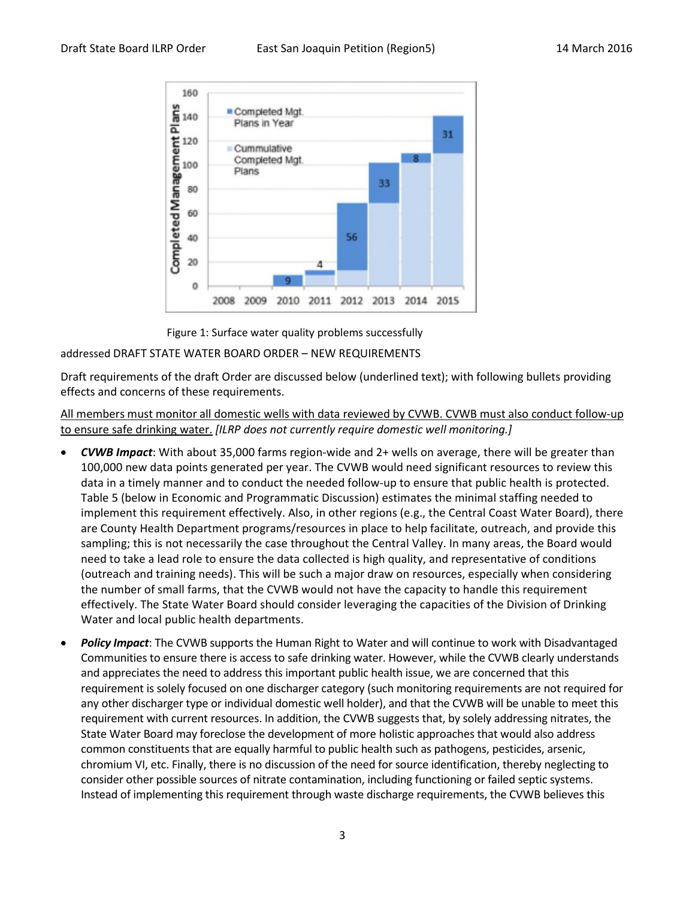

Figure 1: Surface water quality problems successfully

#### addressed DRAFT STATE WATER BOARD ORDER – NEW REQUIREMENTS

Draft requirements of the draft Order are discussed below (underlined text); with following bullets providing effects and concerns of these requirements.

All members must monitor all domestic wells with data reviewed by CVWB. CVWB must also conduct follow-up to ensure safe drinking water. *[ILRP does not currently require domestic well monitoring.]*

- *CVWB Impact*: With about 35,000 farms region-wide and 2+ wells on average, there will be greater than 100,000 new data points generated per year. The CVWB would need significant resources to review this data in a timely manner and to conduct the needed follow-up to ensure that public health is protected. Table 5 (below in Economic and Programmatic Discussion) estimates the minimal staffing needed to implement this requirement effectively. Also, in other regions (e.g., the Central Coast Water Board), there are County Health Department programs/resources in place to help facilitate, outreach, and provide this sampling; this is not necessarily the case throughout the Central Valley. In many areas, the Board would need to take a lead role to ensure the data collected is high quality, and representative of conditions (outreach and training needs). This will be such a major draw on resources, especially when considering the number of small farms, that the CVWB would not have the capacity to handle this requirement effectively. The State Water Board should consider leveraging the capacities of the Division of Drinking Water and local public health departments.
- *Policy Impact*: The CVWB supports the Human Right to Water and will continue to work with Disadvantaged Communities to ensure there is access to safe drinking water. However, while the CVWB clearly understands and appreciates the need to address this important public health issue, we are concerned that this requirement is solely focused on one discharger category (such monitoring requirements are not required for any other discharger type or individual domestic well holder), and that the CVWB will be unable to meet this requirement with current resources. In addition, the CVWB suggests that, by solely addressing nitrates, the State Water Board may foreclose the development of more holistic approaches that would also address common constituents that are equally harmful to public health such as pathogens, pesticides, arsenic, chromium VI, etc. Finally, there is no discussion of the need for source identification, thereby neglecting to consider other possible sources of nitrate contamination, including functioning or failed septic systems. Instead of implementing this requirement through waste discharge requirements, the CVWB believes this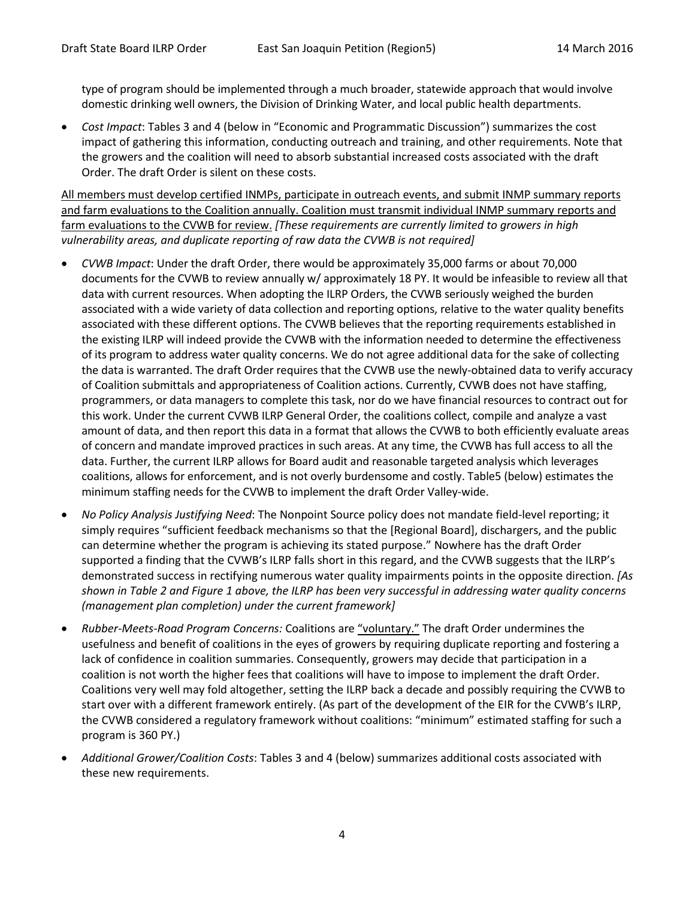type of program should be implemented through a much broader, statewide approach that would involve domestic drinking well owners, the Division of Drinking Water, and local public health departments.

 *Cost Impact*: Tables 3 and 4 (below in "Economic and Programmatic Discussion") summarizes the cost impact of gathering this information, conducting outreach and training, and other requirements. Note that the growers and the coalition will need to absorb substantial increased costs associated with the draft Order. The draft Order is silent on these costs.

All members must develop certified INMPs, participate in outreach events, and submit INMP summary reports and farm evaluations to the Coalition annually. Coalition must transmit individual INMP summary reports and farm evaluations to the CVWB for review. *[These requirements are currently limited to growers in high vulnerability areas, and duplicate reporting of raw data the CVWB is not required]*

- *CVWB Impact*: Under the draft Order, there would be approximately 35,000 farms or about 70,000 documents for the CVWB to review annually w/ approximately 18 PY. It would be infeasible to review all that data with current resources. When adopting the ILRP Orders, the CVWB seriously weighed the burden associated with a wide variety of data collection and reporting options, relative to the water quality benefits associated with these different options. The CVWB believes that the reporting requirements established in the existing ILRP will indeed provide the CVWB with the information needed to determine the effectiveness of its program to address water quality concerns. We do not agree additional data for the sake of collecting the data is warranted. The draft Order requires that the CVWB use the newly-obtained data to verify accuracy of Coalition submittals and appropriateness of Coalition actions. Currently, CVWB does not have staffing, programmers, or data managers to complete this task, nor do we have financial resources to contract out for this work. Under the current CVWB ILRP General Order, the coalitions collect, compile and analyze a vast amount of data, and then report this data in a format that allows the CVWB to both efficiently evaluate areas of concern and mandate improved practices in such areas. At any time, the CVWB has full access to all the data. Further, the current ILRP allows for Board audit and reasonable targeted analysis which leverages coalitions, allows for enforcement, and is not overly burdensome and costly. Table5 (below) estimates the minimum staffing needs for the CVWB to implement the draft Order Valley-wide.
- *No Policy Analysis Justifying Need*: The Nonpoint Source policy does not mandate field-level reporting; it simply requires "sufficient feedback mechanisms so that the [Regional Board], dischargers, and the public can determine whether the program is achieving its stated purpose." Nowhere has the draft Order supported a finding that the CVWB's ILRP falls short in this regard, and the CVWB suggests that the ILRP's demonstrated success in rectifying numerous water quality impairments points in the opposite direction. *[As shown in Table 2 and Figure 1 above, the ILRP has been very successful in addressing water quality concerns (management plan completion) under the current framework]*
- *Rubber-Meets-Road Program Concerns:* Coalitions are "voluntary." The draft Order undermines the usefulness and benefit of coalitions in the eyes of growers by requiring duplicate reporting and fostering a lack of confidence in coalition summaries. Consequently, growers may decide that participation in a coalition is not worth the higher fees that coalitions will have to impose to implement the draft Order. Coalitions very well may fold altogether, setting the ILRP back a decade and possibly requiring the CVWB to start over with a different framework entirely. (As part of the development of the EIR for the CVWB's ILRP, the CVWB considered a regulatory framework without coalitions: "minimum" estimated staffing for such a program is 360 PY.)
- *Additional Grower/Coalition Costs*: Tables 3 and 4 (below) summarizes additional costs associated with these new requirements.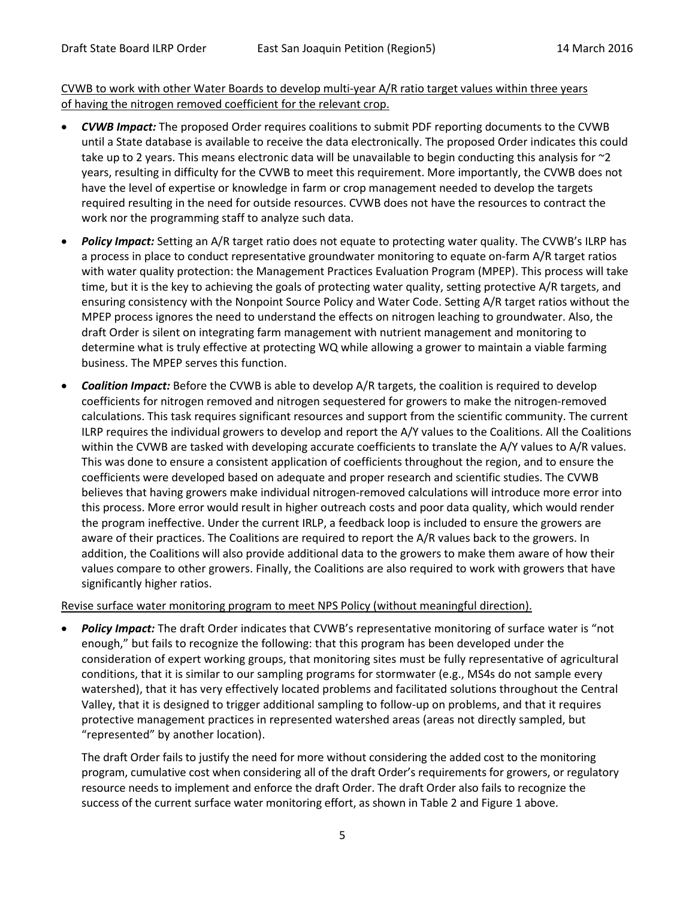#### CVWB to work with other Water Boards to develop multi-year A/R ratio target values within three years of having the nitrogen removed coefficient for the relevant crop.

- *CVWB Impact:* The proposed Order requires coalitions to submit PDF reporting documents to the CVWB until a State database is available to receive the data electronically. The proposed Order indicates this could take up to 2 years. This means electronic data will be unavailable to begin conducting this analysis for ~2 years, resulting in difficulty for the CVWB to meet this requirement. More importantly, the CVWB does not have the level of expertise or knowledge in farm or crop management needed to develop the targets required resulting in the need for outside resources. CVWB does not have the resources to contract the work nor the programming staff to analyze such data.
- *Policy Impact:* Setting an A/R target ratio does not equate to protecting water quality. The CVWB's ILRP has a process in place to conduct representative groundwater monitoring to equate on-farm A/R target ratios with water quality protection: the Management Practices Evaluation Program (MPEP). This process will take time, but it is the key to achieving the goals of protecting water quality, setting protective A/R targets, and ensuring consistency with the Nonpoint Source Policy and Water Code. Setting A/R target ratios without the MPEP process ignores the need to understand the effects on nitrogen leaching to groundwater. Also, the draft Order is silent on integrating farm management with nutrient management and monitoring to determine what is truly effective at protecting WQ while allowing a grower to maintain a viable farming business. The MPEP serves this function.
- *Coalition Impact:* Before the CVWB is able to develop A/R targets, the coalition is required to develop coefficients for nitrogen removed and nitrogen sequestered for growers to make the nitrogen-removed calculations. This task requires significant resources and support from the scientific community. The current ILRP requires the individual growers to develop and report the A/Y values to the Coalitions. All the Coalitions within the CVWB are tasked with developing accurate coefficients to translate the A/Y values to A/R values. This was done to ensure a consistent application of coefficients throughout the region, and to ensure the coefficients were developed based on adequate and proper research and scientific studies. The CVWB believes that having growers make individual nitrogen-removed calculations will introduce more error into this process. More error would result in higher outreach costs and poor data quality, which would render the program ineffective. Under the current IRLP, a feedback loop is included to ensure the growers are aware of their practices. The Coalitions are required to report the A/R values back to the growers. In addition, the Coalitions will also provide additional data to the growers to make them aware of how their values compare to other growers. Finally, the Coalitions are also required to work with growers that have significantly higher ratios.

#### Revise surface water monitoring program to meet NPS Policy (without meaningful direction).

 *Policy Impact:* The draft Order indicates that CVWB's representative monitoring of surface water is "not enough," but fails to recognize the following: that this program has been developed under the consideration of expert working groups, that monitoring sites must be fully representative of agricultural conditions, that it is similar to our sampling programs for stormwater (e.g., MS4s do not sample every watershed), that it has very effectively located problems and facilitated solutions throughout the Central Valley, that it is designed to trigger additional sampling to follow-up on problems, and that it requires protective management practices in represented watershed areas (areas not directly sampled, but "represented" by another location).

The draft Order fails to justify the need for more without considering the added cost to the monitoring program, cumulative cost when considering all of the draft Order's requirements for growers, or regulatory resource needs to implement and enforce the draft Order. The draft Order also fails to recognize the success of the current surface water monitoring effort, as shown in Table 2 and Figure 1 above.